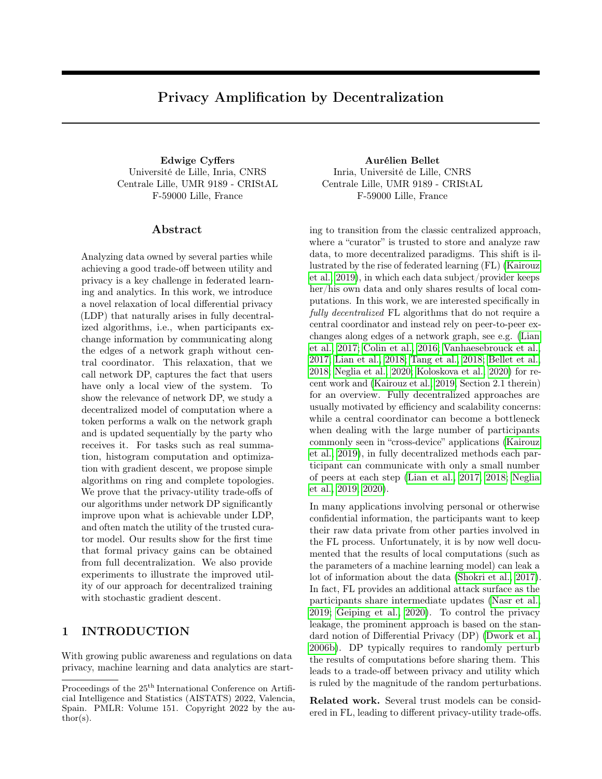# Privacy Amplification by Decentralization

Université de Lille, Inria, CNRS Centrale Lille, UMR 9189 - CRIStAL F-59000 Lille, France

#### ${\rm Abstract}$

Analyzing data owned by several parties while achieving a good trade-off between utility and privacy is a key challenge in federated learning and analytics. In this work, we introduce a novel relaxation of local differential privacy (LDP) that naturally arises in fully decentralized algorithms, i.e., when participants exchange information by communicating along the edges of a network graph without central coordinator. This relaxation, that we call network DP, captures the fact that users have only a local view of the system. To show the relevance of network DP, we study a decentralized model of computation where a token performs a walk on the network graph and is updated sequentially by the party who receives it. For tasks such as real summation, histogram computation and optimization with gradient descent, we propose simple algorithms on ring and complete topologies. We prove that the privacy-utility trade-offs of our algorithms under network DP significantly improve upon what is achievable under LDP, and often match the utility of the trusted curator model. Our results show for the first time that formal privacy gains can be obtained from full decentralization. We also provide experiments to illustrate the improved utility of our approach for decentralized training with stochastic gradient descent.

# 1 INTRODUCTION

With growing public awareness and regulations on data privacy, machine learning and data analytics are start-

Edwige Cyffers Aurélien Bellet Inria, Université de Lille, CNRS Centrale Lille, UMR 9189 - CRIStAL F-59000 Lille, France

> ing to transition from the classic centralized approach, where a "curator" is trusted to store and analyze raw data, to more decentralized paradigms. This shift is illustrated by the rise of federated learning (FL) [\(Kairouz](#page-9-0) [et al., 2019\)](#page-9-0), in which each data subject/provider keeps her/his own data and only shares results of local computations. In this work, we are interested specifically in fully decentralized FL algorithms that do not require a central coordinator and instead rely on peer-to-peer exchanges along edges of a network graph, see e.g. [\(Lian](#page-10-0) [et al., 2017;](#page-10-0) [Colin et al., 2016;](#page-9-1) [Vanhaesebrouck et al.,](#page-10-1) [2017;](#page-10-1) [Lian et al., 2018;](#page-10-2) [Tang et al., 2018;](#page-10-3) [Bellet et al.,](#page-9-2) [2018;](#page-9-2) [Neglia et al., 2020;](#page-10-4) [Koloskova et al., 2020\)](#page-10-5) for recent work and [\(Kairouz et al., 2019,](#page-9-0) Section 2.1 therein) for an overview. Fully decentralized approaches are usually motivated by efficiency and scalability concerns: while a central coordinator can become a bottleneck when dealing with the large number of participants commonly seen in "cross-device" applications [\(Kairouz](#page-9-0) [et al., 2019\)](#page-9-0), in fully decentralized methods each participant can communicate with only a small number of peers at each step [\(Lian et al., 2017,](#page-10-0) [2018;](#page-10-2) [Neglia](#page-10-6) [et al., 2019,](#page-10-6) [2020\)](#page-10-4).

> In many applications involving personal or otherwise confidential information, the participants want to keep their raw data private from other parties involved in the FL process. Unfortunately, it is by now well documented that the results of local computations (such as the parameters of a machine learning model) can leak a lot of information about the data [\(Shokri et al., 2017\)](#page-10-7). In fact, FL provides an additional attack surface as the participants share intermediate updates [\(Nasr et al.,](#page-10-8) [2019;](#page-10-8) [Geiping et al., 2020\)](#page-9-3). To control the privacy leakage, the prominent approach is based on the standard notion of Differential Privacy (DP) [\(Dwork et al.,](#page-9-4) [2006b\)](#page-9-4). DP typically requires to randomly perturb the results of computations before sharing them. This leads to a trade-off between privacy and utility which is ruled by the magnitude of the random perturbations.

> Related work. Several trust models can be considered in FL, leading to different privacy-utility trade-offs.

Proceedings of the  $25^{\mathrm{th}}$  International Conference on Artificial Intelligence and Statistics (AISTATS) 2022, Valencia, Spain. PMLR: Volume 151. Copyright 2022 by the au- $\text{thor}(s)$ .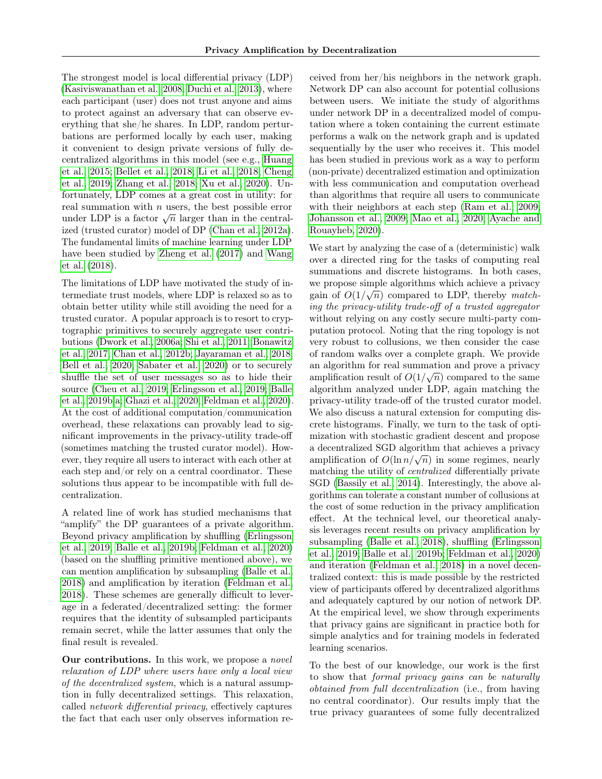The strongest model is local differential privacy (LDP) [\(Kasiviswanathan et al., 2008;](#page-9-5) [Duchi et al., 2013\)](#page-9-6), where each participant (user) does not trust anyone and aims to protect against an adversary that can observe everything that she/he shares. In LDP, random perturbations are performed locally by each user, making it convenient to design private versions of fully decentralized algorithms in this model (see e.g., [Huang](#page-9-7) [et al., 2015;](#page-9-7) [Bellet et al., 2018;](#page-9-2) [Li et al., 2018;](#page-10-9) [Cheng](#page-9-8) [et al., 2019;](#page-9-8) [Zhang et al., 2018;](#page-10-10) [Xu et al., 2020\)](#page-10-11). Unfortunately, LDP comes at a great cost in utility: for real summation with  $n$  users, the best possible error real summation with *n* users, the best possible error<br>under LDP is a factor  $\sqrt{n}$  larger than in the centralized (trusted curator) model of DP [\(Chan et al., 2012a\)](#page-9-9). The fundamental limits of machine learning under LDP have been studied by [Zheng et al.](#page-10-12) [\(2017\)](#page-10-12) and [Wang](#page-10-13) [et al.](#page-10-13) [\(2018\)](#page-10-13).

The limitations of LDP have motivated the study of intermediate trust models, where LDP is relaxed so as to obtain better utility while still avoiding the need for a trusted curator. A popular approach is to resort to cryptographic primitives to securely aggregate user contributions [\(Dwork et al., 2006a;](#page-9-10) [Shi et al., 2011;](#page-10-14) [Bonawitz](#page-9-11) [et al., 2017;](#page-9-11) [Chan et al., 2012b;](#page-9-12) [Jayaraman et al., 2018;](#page-9-13) [Bell et al., 2020;](#page-9-14) [Sabater et al., 2020\)](#page-10-15) or to securely shuffle the set of user messages so as to hide their source [\(Cheu et al., 2019;](#page-9-15) [Erlingsson et al., 2019;](#page-9-16) [Balle](#page-8-0) [et al., 2019b,](#page-8-0)[a;](#page-8-1) [Ghazi et al., 2020;](#page-9-17) [Feldman et al., 2020\)](#page-9-18). At the cost of additional computation/communication overhead, these relaxations can provably lead to significant improvements in the privacy-utility trade-off (sometimes matching the trusted curator model). However, they require all users to interact with each other at each step and/or rely on a central coordinator. These solutions thus appear to be incompatible with full decentralization.

A related line of work has studied mechanisms that "amplify" the DP guarantees of a private algorithm. Beyond privacy amplification by shuffling [\(Erlingsson](#page-9-16) [et al., 2019;](#page-9-16) [Balle et al., 2019b;](#page-8-0) [Feldman et al., 2020\)](#page-9-18) (based on the shuffling primitive mentioned above), we can mention amplification by subsampling [\(Balle et al.,](#page-8-2) [2018\)](#page-8-2) and amplification by iteration [\(Feldman et al.,](#page-9-19) [2018\)](#page-9-19). These schemes are generally difficult to leverage in a federated/decentralized setting: the former requires that the identity of subsampled participants remain secret, while the latter assumes that only the final result is revealed.

Our contributions. In this work, we propose a *novel* relaxation of LDP where users have only a local view of the decentralized system, which is a natural assumption in fully decentralized settings. This relaxation, called network differential privacy, effectively captures the fact that each user only observes information received from her/his neighbors in the network graph. Network DP can also account for potential collusions between users. We initiate the study of algorithms under network DP in a decentralized model of computation where a token containing the current estimate performs a walk on the network graph and is updated sequentially by the user who receives it. This model has been studied in previous work as a way to perform (non-private) decentralized estimation and optimization with less communication and computation overhead than algorithms that require all users to communicate with their neighbors at each step [\(Ram et al., 2009;](#page-10-16) [Johansson et al., 2009;](#page-9-20) [Mao et al., 2020;](#page-10-17) [Ayache and](#page-8-3) [Rouayheb, 2020\)](#page-8-3).

We start by analyzing the case of a (deterministic) walk over a directed ring for the tasks of computing real summations and discrete histograms. In both cases, we propose simple algorithms which achieve a privacy we propose simple algorithms which achieve a privacy gain of  $O(1/\sqrt{n})$  compared to LDP, thereby *match*ing the privacy-utility trade-off of a trusted aggregator without relying on any costly secure multi-party computation protocol. Noting that the ring topology is not very robust to collusions, we then consider the case of random walks over a complete graph. We provide an algorithm for real summation and prove a privacy amplification result of  $O(1/\sqrt{n})$  compared to the same algorithm analyzed under LDP, again matching the privacy-utility trade-off of the trusted curator model. We also discuss a natural extension for computing discrete histograms. Finally, we turn to the task of optimization with stochastic gradient descent and propose a decentralized SGD algorithm that achieves a privacy a decentralized SGD algorithm that achieves a privacy<br>amplification of  $O(\ln n/\sqrt{n})$  in some regimes, nearly matching the utility of centralized differentially private SGD [\(Bassily et al., 2014\)](#page-9-21). Interestingly, the above algorithms can tolerate a constant number of collusions at the cost of some reduction in the privacy amplification effect. At the technical level, our theoretical analysis leverages recent results on privacy amplification by subsampling [\(Balle et al., 2018\)](#page-8-2), shuffling [\(Erlingsson](#page-9-16) [et al., 2019;](#page-9-16) [Balle et al., 2019b;](#page-8-0) [Feldman et al., 2020\)](#page-9-18) and iteration [\(Feldman et al., 2018\)](#page-9-19) in a novel decentralized context: this is made possible by the restricted view of participants offered by decentralized algorithms and adequately captured by our notion of network DP. At the empirical level, we show through experiments that privacy gains are significant in practice both for simple analytics and for training models in federated learning scenarios.

To the best of our knowledge, our work is the first to show that formal privacy gains can be naturally obtained from full decentralization (i.e., from having no central coordinator). Our results imply that the true privacy guarantees of some fully decentralized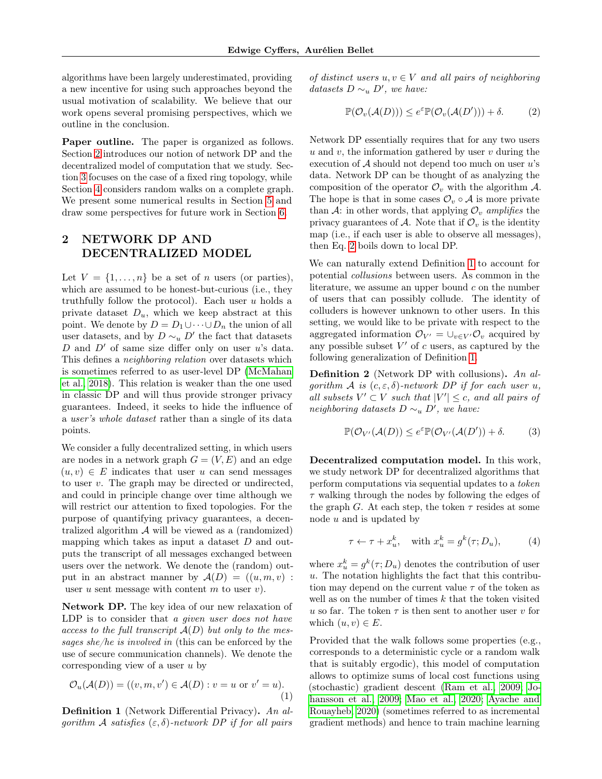algorithms have been largely underestimated, providing a new incentive for using such approaches beyond the usual motivation of scalability. We believe that our work opens several promising perspectives, which we outline in the conclusion.

Paper outline. The paper is organized as follows. Section [2](#page-2-0) introduces our notion of network DP and the decentralized model of computation that we study. Section [3](#page-3-0) focuses on the case of a fixed ring topology, while Section [4](#page-4-0) considers random walks on a complete graph. We present some numerical results in Section [5](#page-6-0) and draw some perspectives for future work in Section [6.](#page-8-4)

# <span id="page-2-0"></span>2 NETWORK DP AND DECENTRALIZED MODEL

Let  $V = \{1, \ldots, n\}$  be a set of n users (or parties), which are assumed to be honest-but-curious (i.e., they truthfully follow the protocol). Each user  $u$  holds a private dataset  $D_u$ , which we keep abstract at this point. We denote by  $D = D_1 \cup \cdots \cup D_n$  the union of all user datasets, and by  $D \sim_u D'$  the fact that datasets D and  $D'$  of same size differ only on user u's data. This defines a neighboring relation over datasets which is sometimes referred to as user-level DP [\(McMahan](#page-10-18) [et al., 2018\)](#page-10-18). This relation is weaker than the one used in classic DP and will thus provide stronger privacy guarantees. Indeed, it seeks to hide the influence of a user's whole dataset rather than a single of its data points.

We consider a fully decentralized setting, in which users are nodes in a network graph  $G = (V, E)$  and an edge  $(u, v) \in E$  indicates that user u can send messages to user  $v$ . The graph may be directed or undirected, and could in principle change over time although we will restrict our attention to fixed topologies. For the purpose of quantifying privacy guarantees, a decentralized algorithm  $A$  will be viewed as a (randomized) mapping which takes as input a dataset  $D$  and outputs the transcript of all messages exchanged between users over the network. We denote the (random) output in an abstract manner by  $\mathcal{A}(D) = ((u, m, v) :$ user u sent message with content m to user  $v$ ).

Network DP. The key idea of our new relaxation of LDP is to consider that a given user does not have access to the full transcript  $A(D)$  but only to the messages she/he is involved in (this can be enforced by the use of secure communication channels). We denote the corresponding view of a user  $u$  by

<span id="page-2-4"></span>
$$
\mathcal{O}_u(\mathcal{A}(D)) = ((v, m, v') \in \mathcal{A}(D) : v = u \text{ or } v' = u).
$$
\n(1)

<span id="page-2-2"></span>**Definition 1** (Network Differential Privacy). An algorithm A satisfies  $(\varepsilon, \delta)$ -network DP if for all pairs of distinct users  $u, v \in V$  and all pairs of neighboring datasets  $D \sim_u D'$ , we have:

<span id="page-2-1"></span>
$$
\mathbb{P}(\mathcal{O}_v(\mathcal{A}(D))) \le e^{\varepsilon} \mathbb{P}(\mathcal{O}_v(\mathcal{A}(D'))) + \delta. \tag{2}
$$

Network DP essentially requires that for any two users  $u$  and  $v$ , the information gathered by user  $v$  during the execution of  $A$  should not depend too much on user  $u$ 's data. Network DP can be thought of as analyzing the composition of the operator  $\mathcal{O}_v$  with the algorithm  $\mathcal{A}$ . The hope is that in some cases  $\mathcal{O}_v \circ \mathcal{A}$  is more private than A: in other words, that applying  $\mathcal{O}_v$  amplifies the privacy guarantees of A. Note that if  $\mathcal{O}_v$  is the identity map (i.e., if each user is able to observe all messages), then Eq. [2](#page-2-1) boils down to local DP.

We can naturally extend Definition [1](#page-2-2) to account for potential collusions between users. As common in the literature, we assume an upper bound  $c$  on the number of users that can possibly collude. The identity of colluders is however unknown to other users. In this setting, we would like to be private with respect to the aggregated information  $\mathcal{O}_{V'} = \bigcup_{v \in V'} \mathcal{O}_v$  acquired by any possible subset  $V'$  of c users, as captured by the following generalization of Definition [1.](#page-2-2)

<span id="page-2-3"></span>Definition 2 (Network DP with collusions). An alqorithm A is  $(c, \varepsilon, \delta)$ -network DP if for each user u, all subsets  $V' \subset V$  such that  $|V'| \leq c$ , and all pairs of neighboring datasets  $D \sim_u D'$ , we have:

$$
\mathbb{P}(\mathcal{O}_{V'}(\mathcal{A}(D)) \le e^{\varepsilon} \mathbb{P}(\mathcal{O}_{V'}(\mathcal{A}(D')) + \delta. \tag{3}
$$

Decentralized computation model. In this work, we study network DP for decentralized algorithms that perform computations via sequential updates to a token  $\tau$  walking through the nodes by following the edges of the graph G. At each step, the token  $\tau$  resides at some node  $u$  and is updated by

$$
\tau \leftarrow \tau + x_u^k, \quad \text{with } x_u^k = g^k(\tau; D_u), \tag{4}
$$

where  $x_u^k = g^k(\tau; D_u)$  denotes the contribution of user u. The notation highlights the fact that this contribution may depend on the current value  $\tau$  of the token as well as on the number of times  $k$  that the token visited u so far. The token  $\tau$  is then sent to another user v for which  $(u, v) \in E$ .

Provided that the walk follows some properties (e.g., corresponds to a deterministic cycle or a random walk that is suitably ergodic), this model of computation allows to optimize sums of local cost functions using (stochastic) gradient descent [\(Ram et al., 2009;](#page-10-16) [Jo](#page-9-20)[hansson et al., 2009;](#page-9-20) [Mao et al., 2020;](#page-10-17) [Ayache and](#page-8-3) [Rouayheb, 2020\)](#page-8-3) (sometimes referred to as incremental gradient methods) and hence to train machine learning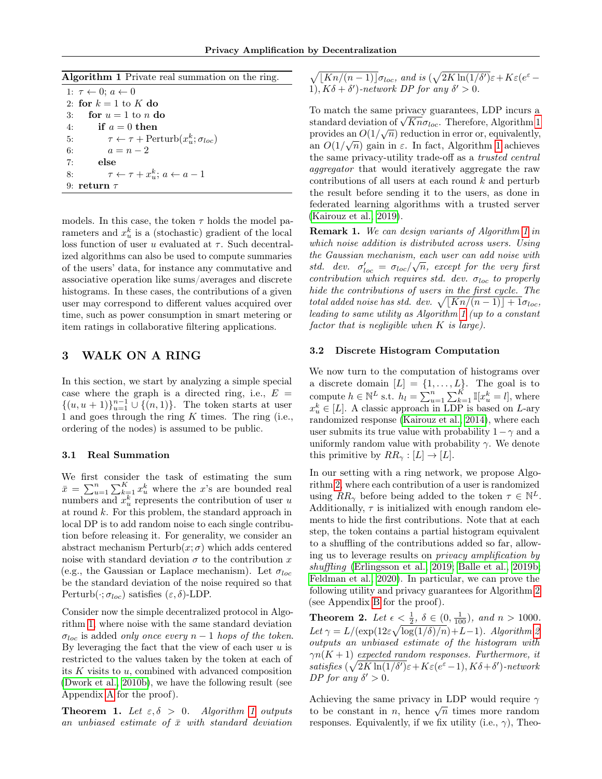<span id="page-3-1"></span>Algorithm 1 Private real summation on the ring.

1:  $\tau \leftarrow 0; a \leftarrow 0$ 2: for  $k = 1$  to K do 3: for  $u = 1$  to n do 4: if  $a = 0$  then 5:  $\tau \leftarrow \tau + \text{Perturb}(x_u^k; \sigma_{loc})$ 6:  $a = n - 2$ 7: else 8:  $\tau \leftarrow \tau + x_u^k$ ;  $a \leftarrow a - 1$ 9: return  $\tau$ 

models. In this case, the token  $\tau$  holds the model parameters and  $x_u^k$  is a (stochastic) gradient of the local loss function of user u evaluated at  $\tau$ . Such decentralized algorithms can also be used to compute summaries of the users' data, for instance any commutative and associative operation like sums/averages and discrete histograms. In these cases, the contributions of a given user may correspond to different values acquired over time, such as power consumption in smart metering or item ratings in collaborative filtering applications.

### <span id="page-3-0"></span>3 WALK ON A RING

In this section, we start by analyzing a simple special case where the graph is a directed ring, i.e.,  $E =$  $\{(u, u + 1)\}_{u=1}^{n-1} \cup \{(n, 1)\}.$  The token starts at user 1 and goes through the ring  $K$  times. The ring (i.e., ordering of the nodes) is assumed to be public.

### <span id="page-3-4"></span>3.1 Real Summation

We first consider the task of estimating the sum  $\bar{x} = \sum_{u=1}^{n} \sum_{k=1}^{K} x_u^k$  where the x's are bounded real numbers and  $x_u^k$  represents the contribution of user u at round  $k$ . For this problem, the standard approach in local DP is to add random noise to each single contribution before releasing it. For generality, we consider an abstract mechanism  $Perturb(x; \sigma)$  which adds centered noise with standard deviation  $\sigma$  to the contribution x (e.g., the Gaussian or Laplace mechanism). Let  $\sigma_{loc}$ be the standard deviation of the noise required so that Perturb $(\cdot; \sigma_{loc})$  satisfies  $(\varepsilon, \delta)$ -LDP.

Consider now the simple decentralized protocol in Algorithm [1,](#page-3-1) where noise with the same standard deviation  $\sigma_{loc}$  is added only once every  $n-1$  hops of the token. By leveraging the fact that the view of each user  $u$  is restricted to the values taken by the token at each of its  $K$  visits to  $u$ , combined with advanced composition [\(Dwork et al., 2010b\)](#page-9-22), we have the following result (see Appendix [A](#page-11-0) for the proof).

<span id="page-3-6"></span>**Theorem [1](#page-3-1).** Let  $\varepsilon, \delta > 0$ . Algorithm 1 outputs an unbiased estimate of  $\bar{x}$  with standard deviation  $\sqrt{\lfloor Kn/(n-1)\rfloor} \sigma_{loc}$ , and is  $(\sqrt{2K \ln(1/\delta)})\varepsilon + K \varepsilon (e^{\varepsilon} -$ 1),  $K\delta + \delta'$ )-network DP for any  $\delta' > 0$ .

To match the same privacy guarantees, LDP incurs a To match the same privacy guarantees, LDP incurs a<br>standard deviation of  $\sqrt{Kn\sigma_{loc}}$ . Therefore, Algorithm [1](#page-3-1) provides an  $O(1/\sqrt{n})$  reduction in error or, equivalently, an  $O(1/\sqrt{n})$  gain in  $\varepsilon$ . In fact, Algorithm [1](#page-3-1) achieves the same privacy-utility trade-off as a trusted central aggregator that would iteratively aggregate the raw contributions of all users at each round  $k$  and perturb the result before sending it to the users, as done in federated learning algorithms with a trusted server [\(Kairouz et al., 2019\)](#page-9-0).

<span id="page-3-3"></span>Remark 1. We can design variants of Algorithm [1](#page-3-1) in which noise addition is distributed across users. Using the Gaussian mechanism, each user can add noise with √ std. dev.  $\sigma'_{loc} = \sigma_{loc}/\sqrt{n}$ , except for the very first contribution which requires std. dev.  $\sigma_{loc}$  to properly hide the contributions of users in the first cycle. The total added noise has std. dev.  $\sqrt{[Kn/(n-1)] + 1}\sigma_{loc}$ , leading to same utility as Algorithm [1](#page-3-1) (up to a constant factor that is negligible when  $K$  is large).

#### <span id="page-3-5"></span>3.2 Discrete Histogram Computation

We now turn to the computation of histograms over a discrete domain  $[L] = \{1, \ldots, L\}$ . The goal is to compute  $h \in \mathbb{N}^L$  s.t.  $h_l = \sum_{u=1}^n \sum_{k=1}^K \mathbb{I}[x_u^k = l]$ , where  $x_u^k \in [L]$ . A classic approach in LDP is based on L-ary randomized response [\(Kairouz et al., 2014\)](#page-9-23), where each user submits its true value with probability  $1-\gamma$  and a uniformly random value with probability  $\gamma$ . We denote this primitive by  $RR_{\gamma}: [L] \rightarrow [L]$ .

In our setting with a ring network, we propose Algorithm [2,](#page-4-1) where each contribution of a user is randomized using  $RR_{\gamma}$  before being added to the token  $\tau \in \mathbb{N}^{L}$ . Additionally,  $\tau$  is initialized with enough random elements to hide the first contributions. Note that at each step, the token contains a partial histogram equivalent to a shuffling of the contributions added so far, allowing us to leverage results on privacy amplification by shuffling [\(Erlingsson et al., 2019;](#page-9-16) [Balle et al., 2019b;](#page-8-0) [Feldman et al., 2020\)](#page-9-18). In particular, we can prove the following utility and privacy guarantees for Algorithm [2](#page-4-1) (see Appendix [B](#page-11-1) for the proof).

<span id="page-3-2"></span>**Theorem 2.** Let  $\epsilon < \frac{1}{2}$ ,  $\delta \in (0, \frac{1}{100})$ , and  $n > 1000$ . Let  $\gamma = L/(\exp(12\varepsilon\sqrt{\log(1/\delta)/n}) + L - 1)$ . Algorithm [2](#page-4-1) outputs an unbiased estimate of the histogram with  $\gamma n(K+1)$  expected random responses. Furthermore, it satisfies  $(\sqrt{2K\ln(1/\delta')\varepsilon}+K\varepsilon(e^{\varepsilon}-1), K\delta+\delta')$ -network DP for any  $\delta' > 0$ .

Achieving the same privacy in LDP would require  $\gamma$ Achieving the same privacy in LDr would require  $\gamma$  to be constant in n, hence  $\sqrt{n}$  times more random responses. Equivalently, if we fix utility (i.e.,  $\gamma$ ), Theo-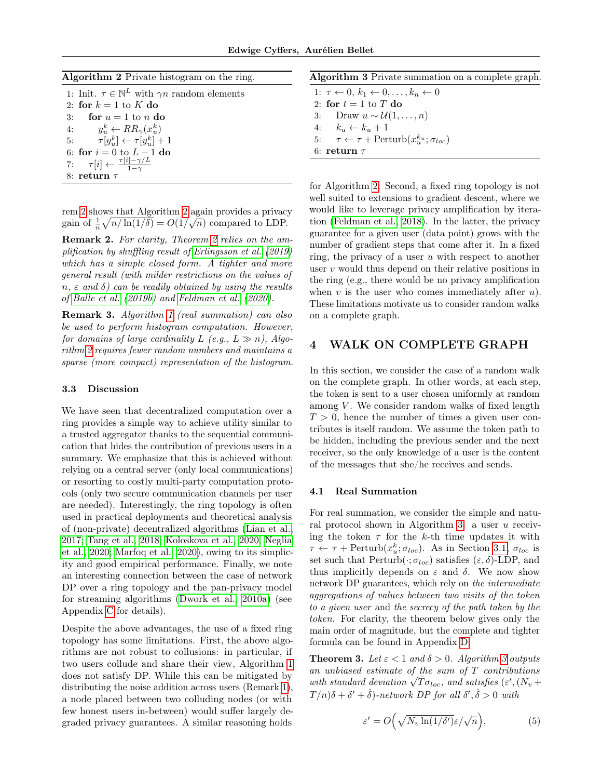<span id="page-4-1"></span>

| Algorithm 2 Private histogram on the ring. |  |  |  |  |  |  |
|--------------------------------------------|--|--|--|--|--|--|
|--------------------------------------------|--|--|--|--|--|--|

| 1: Init. $\tau \in \mathbb{N}^L$ with $\gamma n$ random elements |
|------------------------------------------------------------------|
| 2: for $k = 1$ to K do                                           |
| for $u = 1$ to n do<br>3:                                        |
| 4: $y_n^k \leftarrow RR_\gamma(x_n^k)$                           |
| 5: $\tau[y_n^k] \leftarrow \tau[y_n^k] + 1$                      |
| 6: for $i = 0$ to $L - 1$ do                                     |
| 7: $\tau[i] \leftarrow \frac{\tau[i]-\gamma/L}{1-\gamma}$        |
| 8: return $\tau$                                                 |

rem [2](#page-4-1) shows that Algorithm 2 again provides a privacy gain of  $\frac{1}{n}\sqrt{n/\ln(1/\delta)} = O(1/\sqrt{n})$  compared to LDP.

Remark [2](#page-3-2). For clarity, Theorem 2 relies on the amplification by shuffling result of [Erlingsson et al.](#page-9-16) [\(2019\)](#page-9-16) which has a simple closed form. A tighter and more general result (with milder restrictions on the values of  $n, \varepsilon$  and  $\delta$ ) can be readily obtained by using the results of [Balle et al.](#page-8-0) [\(2019b\)](#page-8-0) and [Feldman et al.](#page-9-18) [\(2020\)](#page-9-18).

Remark 3. Algorithm [1](#page-3-1) (real summation) can also be used to perform histogram computation. However, for domains of large cardinality L (e.g.,  $L \gg n$ ), Algorithm [2](#page-4-1) requires fewer random numbers and maintains a sparse (more compact) representation of the histogram.

### <span id="page-4-4"></span>3.3 Discussion

We have seen that decentralized computation over a ring provides a simple way to achieve utility similar to a trusted aggregator thanks to the sequential communication that hides the contribution of previous users in a summary. We emphasize that this is achieved without relying on a central server (only local communications) or resorting to costly multi-party computation protocols (only two secure communication channels per user are needed). Interestingly, the ring topology is often used in practical deployments and theoretical analysis of (non-private) decentralized algorithms [\(Lian et al.,](#page-10-0) [2017;](#page-10-0) [Tang et al., 2018;](#page-10-3) [Koloskova et al., 2020;](#page-10-5) [Neglia](#page-10-4) [et al., 2020;](#page-10-4) [Marfoq et al., 2020\)](#page-10-19), owing to its simplicity and good empirical performance. Finally, we note an interesting connection between the case of network DP over a ring topology and the pan-privacy model for streaming algorithms [\(Dwork et al., 2010a\)](#page-9-24) (see Appendix [C](#page-12-0) for details).

Despite the above advantages, the use of a fixed ring topology has some limitations. First, the above algorithms are not robust to collusions: in particular, if two users collude and share their view, Algorithm [1](#page-3-1) does not satisfy DP. While this can be mitigated by distributing the noise addition across users (Remark [1\)](#page-3-3), a node placed between two colluding nodes (or with few honest users in-between) would suffer largely degraded privacy guarantees. A similar reasoning holds

<span id="page-4-2"></span>

| Algorithm 3 Private summation on a complete graph. |  |  |  |  |  |
|----------------------------------------------------|--|--|--|--|--|
|----------------------------------------------------|--|--|--|--|--|

1:  $\tau \leftarrow 0, k_1 \leftarrow 0, \ldots, k_n \leftarrow 0$ 2: for  $t = 1$  to T do 3: Draw  $u \sim \mathcal{U}(1,\ldots,n)$ 4:  $k_u \leftarrow k_u + 1$ 5:  $\tau \leftarrow \tau + \text{Perturb}(x_u^{k_u}; \sigma_{loc})$ 6: return  $\tau$ 

for Algorithm [2.](#page-4-1) Second, a fixed ring topology is not well suited to extensions to gradient descent, where we would like to leverage privacy amplification by iteration [\(Feldman et al., 2018\)](#page-9-19). In the latter, the privacy guarantee for a given user (data point) grows with the number of gradient steps that come after it. In a fixed ring, the privacy of a user  $u$  with respect to another user  $v$  would thus depend on their relative positions in the ring (e.g., there would be no privacy amplification when  $v$  is the user who comes immediately after  $u$ ). These limitations motivate us to consider random walks on a complete graph.

### <span id="page-4-0"></span>4 WALK ON COMPLETE GRAPH

In this section, we consider the case of a random walk on the complete graph. In other words, at each step, the token is sent to a user chosen uniformly at random among  $V$ . We consider random walks of fixed length  $T > 0$ , hence the number of times a given user contributes is itself random. We assume the token path to be hidden, including the previous sender and the next receiver, so the only knowledge of a user is the content of the messages that she/he receives and sends.

#### 4.1 Real Summation

For real summation, we consider the simple and natural protocol shown in Algorithm [3:](#page-4-2) a user u receiving the token  $\tau$  for the k-th time updates it with  $\tau \leftarrow \tau + \text{Perturb}(x_u^k; \sigma_{loc})$ . As in Section [3.1,](#page-3-4)  $\sigma_{loc}$  is set such that Perturb $(\cdot; \sigma_{loc})$  satisfies  $(\varepsilon, \delta)$ -LDP, and thus implicitly depends on  $\varepsilon$  and  $\delta$ . We now show network DP guarantees, which rely on the intermediate aggregations of values between two visits of the token to a given user and the secrecy of the path taken by the token. For clarity, the theorem below gives only the main order of magnitude, but the complete and tighter formula can be found in Appendix [D.](#page-13-0)

<span id="page-4-3"></span>**Theorem [3](#page-4-2).** Let  $\epsilon < 1$  and  $\delta > 0$ . Algorithm 3 outputs an unbiased estimate of the sum of  $T$  contributions an unbiased estimate of the sum of T contributions<br>with standard deviation  $\sqrt{T}\sigma_{loc}$ , and satisfies  $(\varepsilon', (N_v +$  $T/n)\delta + \delta' + \hat{\delta}$ )-network DP for all  $\delta', \hat{\delta} > 0$  with

$$
\varepsilon' = O\left(\sqrt{N_v \ln(1/\delta')}\varepsilon/\sqrt{n}\right),\tag{5}
$$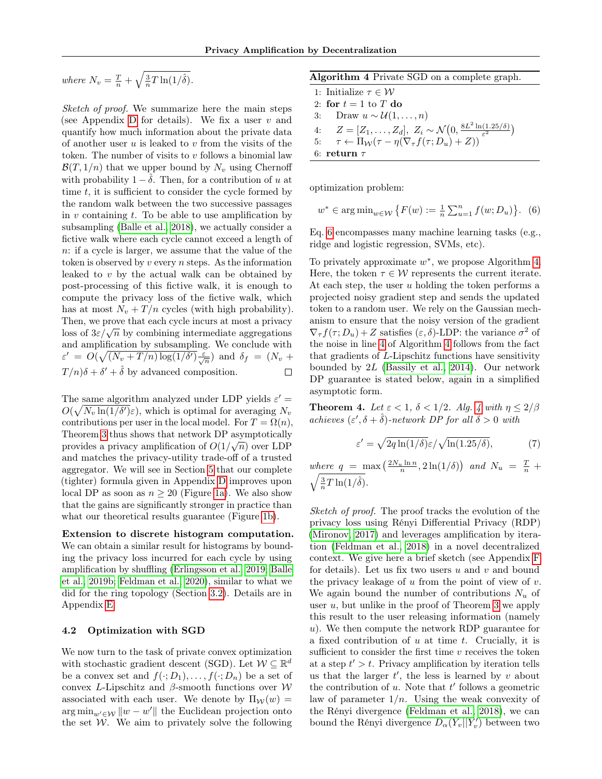where  $N_v = \frac{T}{n} + \sqrt{\frac{3}{n}T \ln(1/\hat{\delta})}$ .

Sketch of proof. We summarize here the main steps (see Appendix [D](#page-13-0) for details). We fix a user  $v$  and quantify how much information about the private data of another user  $u$  is leaked to  $v$  from the visits of the token. The number of visits to  $v$  follows a binomial law  $\mathcal{B}(T, 1/n)$  that we upper bound by  $N_v$  using Chernoff with probability  $1 - \hat{\delta}$ . Then, for a contribution of u at time  $t$ , it is sufficient to consider the cycle formed by the random walk between the two successive passages in  $v$  containing  $t$ . To be able to use amplification by subsampling [\(Balle et al., 2018\)](#page-8-2), we actually consider a fictive walk where each cycle cannot exceed a length of n: if a cycle is larger, we assume that the value of the token is observed by  $v$  every  $n$  steps. As the information leaked to  $v$  by the actual walk can be obtained by post-processing of this fictive walk, it is enough to compute the privacy loss of the fictive walk, which has at most  $N_v + T/n$  cycles (with high probability). Then, we prove that each cycle incurs at most a privacy Then, we prove that each cycle incurs at most a privacy<br>loss of  $3\varepsilon/\sqrt{n}$  by combining intermediate aggregations and amplification by subsampling. We conclude with  $\varepsilon' = O(\sqrt{(N_v + T/n) \log(1/\delta') \frac{\varepsilon}{\sqrt{n}}})$  and  $\delta_f = (N_v +$  $T/n)\delta + \delta' + \hat{\delta}$  by advanced composition.  $\Box$ 

The same algorithm analyzed under LDP yields  $\varepsilon'$  =  $O(\sqrt{N_v \ln(1/\delta')}\varepsilon)$ , which is optimal for averaging  $N_v$ contributions per user in the local model. For  $T = \Omega(n)$ , Theorem [3](#page-4-3) thus shows that network DP asymptotically provides a privacy amplification of  $O(1/\sqrt{n})$  over LDP and matches the privacy-utility trade-off of a trusted aggregator. We will see in Section [5](#page-6-0) that our complete (tighter) formula given in Appendix [D](#page-13-0) improves upon local DP as soon as  $n > 20$  (Figure [1a\)](#page-7-0). We also show that the gains are significantly stronger in practice than what our theoretical results guarantee (Figure [1b\)](#page-7-0).

Extension to discrete histogram computation. We can obtain a similar result for histograms by bounding the privacy loss incurred for each cycle by using amplification by shuffling [\(Erlingsson et al., 2019;](#page-9-16) [Balle](#page-8-0) [et al., 2019b;](#page-8-0) [Feldman et al., 2020\)](#page-9-18), similar to what we did for the ring topology (Section [3.2\)](#page-3-5). Details are in Appendix [E.](#page-14-0)

#### 4.2 Optimization with SGD

We now turn to the task of private convex optimization with stochastic gradient descent (SGD). Let  $\mathcal{W} \subseteq \mathbb{R}^d$ be a convex set and  $f(\cdot; D_1), \ldots, f(\cdot; D_n)$  be a set of convex L-Lipschitz and β-smooth functions over  $W$ associated with each user. We denote by  $\Pi_{\mathcal{W}}(w) =$  $\arg \min_{w' \in \mathcal{W}} ||w - w'||$  the Euclidean projection onto the set  $W$ . We aim to privately solve the following

<span id="page-5-1"></span>

| Algorithm 4 Private SGD on a complete graph. |  |  |  |  |  |
|----------------------------------------------|--|--|--|--|--|
|----------------------------------------------|--|--|--|--|--|

<span id="page-5-2"></span>1: Initialize  $\tau \in \mathcal{W}$ 2: for  $t = 1$  to T do 3: Draw  $u \sim \mathcal{U}(1,\ldots,n)$ 4:  $Z = [Z_1, \ldots, Z_d], Z_i \sim \mathcal{N}(0, \frac{8L^2 \ln(1.25/\delta)}{\epsilon^2})$  $\frac{(1.25/\delta)}{\varepsilon^2}$ 5:  $\tau \leftarrow \Pi_{\mathcal{W}}(\tau - \eta(\nabla_{\tau}f(\tau; D_u) + Z))$ 6: return  $\tau$ 

optimization problem:

<span id="page-5-0"></span>
$$
w^* \in \arg\min_{w \in \mathcal{W}} \{ F(w) := \frac{1}{n} \sum_{u=1}^n f(w; D_u) \}.
$$
 (6)

Eq. [6](#page-5-0) encompasses many machine learning tasks (e.g., ridge and logistic regression, SVMs, etc).

To privately approximate  $w^*$ , we propose Algorithm [4.](#page-5-1) Here, the token  $\tau \in \mathcal{W}$  represents the current iterate. At each step, the user  $u$  holding the token performs a projected noisy gradient step and sends the updated token to a random user. We rely on the Gaussian mechanism to ensure that the noisy version of the gradient  $\nabla_{\tau} f(\tau; D_u) + Z$  satisfies  $(\varepsilon, \delta)$ -LDP: the variance  $\sigma^2$  of the noise in line [4](#page-5-2) of Algorithm [4](#page-5-1) follows from the fact that gradients of L-Lipschitz functions have sensitivity bounded by 2L [\(Bassily et al., 2014\)](#page-9-21). Our network DP guarantee is stated below, again in a simplified asymptotic form.

<span id="page-5-3"></span>**Theorem [4](#page-5-1).** Let  $\varepsilon < 1$ ,  $\delta < 1/2$ . Alg. 4 with  $\eta \leq 2/\beta$ achieves  $(\varepsilon', \delta + \hat{\delta})$ -network DP for all  $\hat{\delta} > 0$  with

<span id="page-5-4"></span>
$$
\varepsilon' = \sqrt{2q \ln(1/\delta)} \varepsilon / \sqrt{\ln(1.25/\delta)},\tag{7}
$$

where  $q = \max\left(\frac{2N_u \ln n}{n}, 2\ln(1/\delta)\right)$  and  $N_u = \frac{T}{n}$  +  $\sqrt{\frac{3}{n}T\ln(1/\hat{\delta})}.$ 

Sketch of proof. The proof tracks the evolution of the privacy loss using Rényi Differential Privacy (RDP) [\(Mironov, 2017\)](#page-10-20) and leverages amplification by iteration [\(Feldman et al., 2018\)](#page-9-19) in a novel decentralized context. We give here a brief sketch (see Appendix [F](#page-16-0) for details). Let us fix two users  $u$  and  $v$  and bound the privacy leakage of  $u$  from the point of view of  $v$ . We again bound the number of contributions  $N_u$  of user  $u$ , but unlike in the proof of Theorem [3](#page-4-3) we apply this result to the user releasing information (namely u). We then compute the network RDP guarantee for a fixed contribution of  $u$  at time  $t$ . Crucially, it is sufficient to consider the first time  $v$  receives the token at a step  $t' > t$ . Privacy amplification by iteration tells us that the larger  $t'$ , the less is learned by  $v$  about the contribution of  $u$ . Note that  $t'$  follows a geometric law of parameter  $1/n$ . Using the weak convexity of the Rényi divergence [\(Feldman et al., 2018\)](#page-9-19), we can bound the Rényi divergence  $D_\alpha(Y_v||Y'_v)$  between two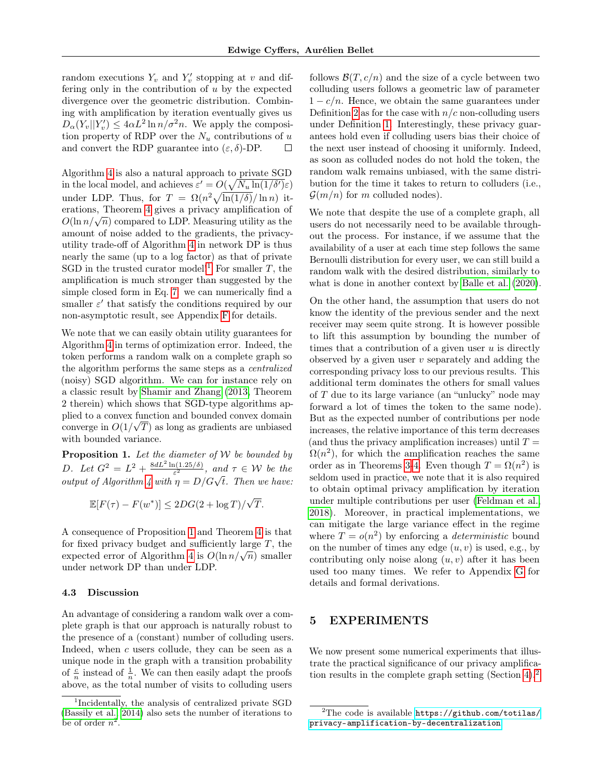random executions  $Y_v$  and  $Y'_v$  stopping at v and differing only in the contribution of  $u$  by the expected divergence over the geometric distribution. Combining with amplification by iteration eventually gives us  $D_{\alpha}(Y_v||Y'_v) \le 4\alpha L^2 \ln n/\sigma^2 n$ . We apply the composition property of RDP over the  $N_u$  contributions of u and convert the RDP guarantee into  $(\varepsilon, \delta)$ -DP.  $\Box$ 

Algorithm [4](#page-5-1) is also a natural approach to private SGD in the local model, and achieves  $\varepsilon' = O(\sqrt{N_u \ln(1/\delta')}\varepsilon)$ under LDP. Thus, for  $T = \Omega(n^2 \sqrt{\ln(1/\delta)}/\ln n)$  iterations, Theorem [4](#page-5-3) gives a privacy amplification of erations, Theorem 4 gives a privacy amplification of  $O(\ln n/\sqrt{n})$  compared to LDP. Measuring utility as the amount of noise added to the gradients, the privacyutility trade-off of Algorithm [4](#page-5-1) in network DP is thus nearly the same (up to a log factor) as that of private SGD in the trusted curator model!<sup>[1](#page-6-1)</sup> For smaller T, the amplification is much stronger than suggested by the simple closed form in Eq. [7:](#page-5-4) we can numerically find a smaller  $\varepsilon'$  that satisfy the conditions required by our non-asymptotic result, see Appendix [F](#page-16-0) for details.

We note that we can easily obtain utility guarantees for Algorithm [4](#page-5-1) in terms of optimization error. Indeed, the token performs a random walk on a complete graph so the algorithm performs the same steps as a centralized (noisy) SGD algorithm. We can for instance rely on a classic result by [Shamir and Zhang](#page-10-21) [\(2013,](#page-10-21) Theorem 2 therein) which shows that SGD-type algorithms applied to a convex function and bounded convex domain converge in  $O(1/\sqrt{T})$  as long as gradients are unbiased with bounded variance.

<span id="page-6-2"></span>**Proposition 1.** Let the diameter of  $W$  be bounded by D. Let  $G^2 = L^2 + \frac{8dL^2 \ln(1.25/\delta)}{\epsilon^2}$  $\frac{\Gamma(1.25/\delta)}{\varepsilon^2}$ , and  $\tau \in \mathcal{W}$  be the *D.* Let  $G - L + \frac{\varepsilon^2}{\varepsilon^2}$ , and  $T \in VV$  be the output of Algorithm [4](#page-5-1) with  $\eta = D/G\sqrt{t}$ . Then we have:

$$
\mathbb{E}[F(\tau) - F(w^*)] \le 2DG(2 + \log T)/\sqrt{T}.
$$

A consequence of Proposition [1](#page-6-2) and Theorem [4](#page-5-3) is that for fixed privacy budget and sufficiently large  $T$ , the for fixed privacy budget and sufficiently large 1, the expected error of Algorithm [4](#page-5-1) is  $O(\ln n/\sqrt{n})$  smaller under network DP than under LDP.

#### 4.3 Discussion

An advantage of considering a random walk over a complete graph is that our approach is naturally robust to the presence of a (constant) number of colluding users. Indeed, when  $c$  users collude, they can be seen as a unique node in the graph with a transition probability of  $\frac{c}{n}$  instead of  $\frac{1}{n}$ . We can then easily adapt the proofs above, as the total number of visits to colluding users follows  $\mathcal{B}(T, c/n)$  and the size of a cycle between two colluding users follows a geometric law of parameter  $1 - c/n$ . Hence, we obtain the same guarantees under Definition [2](#page-2-3) as for the case with  $n/c$  non-colluding users under Definition [1.](#page-2-2) Interestingly, these privacy guarantees hold even if colluding users bias their choice of the next user instead of choosing it uniformly. Indeed, as soon as colluded nodes do not hold the token, the random walk remains unbiased, with the same distribution for the time it takes to return to colluders (i.e.,  $\mathcal{G}(m/n)$  for m colluded nodes).

We note that despite the use of a complete graph, all users do not necessarily need to be available throughout the process. For instance, if we assume that the availability of a user at each time step follows the same Bernoulli distribution for every user, we can still build a random walk with the desired distribution, similarly to what is done in another context by [Balle et al.](#page-9-25) [\(2020\)](#page-9-25).

On the other hand, the assumption that users do not know the identity of the previous sender and the next receiver may seem quite strong. It is however possible to lift this assumption by bounding the number of times that a contribution of a given user  $u$  is directly observed by a given user  $v$  separately and adding the corresponding privacy loss to our previous results. This additional term dominates the others for small values of T due to its large variance (an "unlucky" node may forward a lot of times the token to the same node). But as the expected number of contributions per node increases, the relative importance of this term decreases (and thus the privacy amplification increases) until  $T =$  $\Omega(n^2)$ , for which the amplification reaches the same order as in Theorems [3-](#page-4-3)[4.](#page-5-3) Even though  $T = \Omega(n^2)$  is seldom used in practice, we note that it is also required to obtain optimal privacy amplification by iteration under multiple contributions per user [\(Feldman et al.,](#page-9-19) [2018\)](#page-9-19). Moreover, in practical implementations, we can mitigate the large variance effect in the regime where  $T = o(n^2)$  by enforcing a *deterministic* bound on the number of times any edge  $(u, v)$  is used, e.g., by contributing only noise along  $(u, v)$  after it has been used too many times. We refer to Appendix [G](#page-18-0) for details and formal derivations.

### <span id="page-6-0"></span>5 EXPERIMENTS

We now present some numerical experiments that illustrate the practical significance of our privacy amplification results in the complete graph setting (Section [4\)](#page-4-0).[2](#page-6-3)

<span id="page-6-1"></span><sup>1</sup> Incidentally, the analysis of centralized private SGD [\(Bassily et al., 2014\)](#page-9-21) also sets the number of iterations to be of order  $n^2$ .

<span id="page-6-3"></span> $2$ The code is available [https://github.com/totilas/](https://github.com/totilas/privacy-amplification-by-decentralization) [privacy-amplification-by-decentralization](https://github.com/totilas/privacy-amplification-by-decentralization)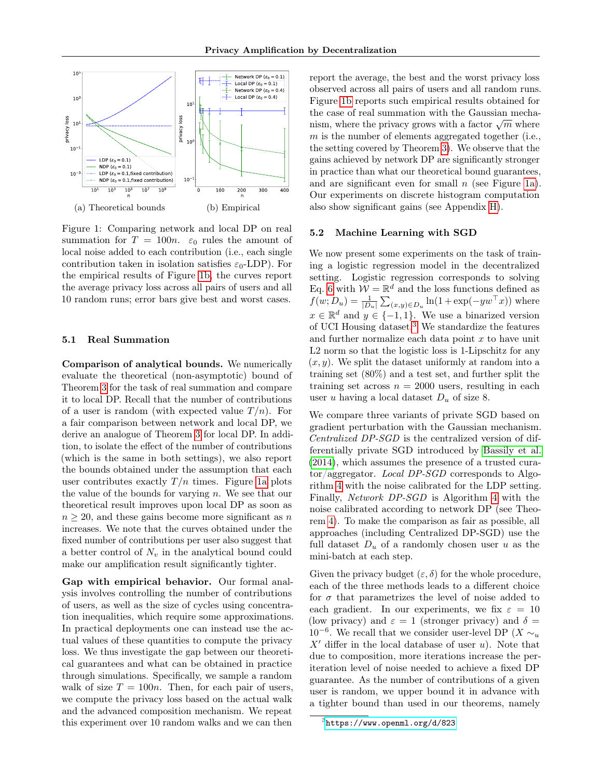<span id="page-7-0"></span>

Figure 1: Comparing network and local DP on real summation for  $T = 100n$ .  $\varepsilon_0$  rules the amount of local noise added to each contribution (i.e., each single contribution taken in isolation satisfies  $\varepsilon_0$ -LDP). For the empirical results of Figure [1b,](#page-7-0) the curves report the average privacy loss across all pairs of users and all 10 random runs; error bars give best and worst cases.

#### <span id="page-7-3"></span>5.1 Real Summation

Comparison of analytical bounds. We numerically evaluate the theoretical (non-asymptotic) bound of Theorem [3](#page-4-3) for the task of real summation and compare it to local DP. Recall that the number of contributions of a user is random (with expected value  $T/n$ ). For a fair comparison between network and local DP, we derive an analogue of Theorem [3](#page-4-3) for local DP. In addition, to isolate the effect of the number of contributions (which is the same in both settings), we also report the bounds obtained under the assumption that each user contributes exactly  $T/n$  times. Figure [1a](#page-7-0) plots the value of the bounds for varying  $n$ . We see that our theoretical result improves upon local DP as soon as  $n \geq 20$ , and these gains become more significant as n increases. We note that the curves obtained under the fixed number of contributions per user also suggest that a better control of  $N_v$  in the analytical bound could make our amplification result significantly tighter.

Gap with empirical behavior. Our formal analysis involves controlling the number of contributions of users, as well as the size of cycles using concentration inequalities, which require some approximations. In practical deployments one can instead use the actual values of these quantities to compute the privacy loss. We thus investigate the gap between our theoretical guarantees and what can be obtained in practice through simulations. Specifically, we sample a random walk of size  $T = 100n$ . Then, for each pair of users, we compute the privacy loss based on the actual walk and the advanced composition mechanism. We repeat this experiment over 10 random walks and we can then report the average, the best and the worst privacy loss observed across all pairs of users and all random runs. Figure [1b](#page-7-0) reports such empirical results obtained for the case of real summation with the Gaussian mechathe case of real summation with the Gaussian mechanism, where the privacy grows with a factor  $\sqrt{m}$  where  $m$  is the number of elements aggregated together (i.e., the setting covered by Theorem [3\)](#page-4-3). We observe that the gains achieved by network DP are significantly stronger in practice than what our theoretical bound guarantees, and are significant even for small  $n$  (see Figure [1a\)](#page-7-0). Our experiments on discrete histogram computation also show significant gains (see Appendix [H\)](#page-19-0).

#### <span id="page-7-2"></span>5.2 Machine Learning with SGD

We now present some experiments on the task of training a logistic regression model in the decentralized setting. Logistic regression corresponds to solving Eq. [6](#page-5-0) with  $W = \mathbb{R}^d$  and the loss functions defined as  $f(w; D_u) = \frac{1}{|D_u|} \sum_{(x,y) \in D_u} \ln(1 + \exp(-yw^{\top}x))$  where  $x \in \mathbb{R}^d$  and  $y \in \{-1,1\}$ . We use a binarized version of UCI Housing dataset.[3](#page-7-1) We standardize the features and further normalize each data point  $x$  to have unit L2 norm so that the logistic loss is 1-Lipschitz for any  $(x, y)$ . We split the dataset uniformly at random into a training set (80%) and a test set, and further split the training set across  $n = 2000$  users, resulting in each user u having a local dataset  $D_u$  of size 8.

We compare three variants of private SGD based on gradient perturbation with the Gaussian mechanism. Centralized DP-SGD is the centralized version of differentially private SGD introduced by [Bassily et al.](#page-9-21) [\(2014\)](#page-9-21), which assumes the presence of a trusted curator/aggregator. Local DP-SGD corresponds to Algorithm [4](#page-5-1) with the noise calibrated for the LDP setting. Finally, Network DP-SGD is Algorithm [4](#page-5-1) with the noise calibrated according to network DP (see Theorem [4\)](#page-5-3). To make the comparison as fair as possible, all approaches (including Centralized DP-SGD) use the full dataset  $D_u$  of a randomly chosen user u as the mini-batch at each step.

Given the privacy budget  $(\varepsilon, \delta)$  for the whole procedure, each of the three methods leads to a different choice for  $\sigma$  that parametrizes the level of noise added to each gradient. In our experiments, we fix  $\varepsilon = 10$ (low privacy) and  $\varepsilon = 1$  (stronger privacy) and  $\delta =$ 10<sup>-6</sup>. We recall that we consider user-level DP (X  $\sim_u$ )  $X'$  differ in the local database of user u). Note that due to composition, more iterations increase the periteration level of noise needed to achieve a fixed DP guarantee. As the number of contributions of a given user is random, we upper bound it in advance with a tighter bound than used in our theorems, namely

<span id="page-7-1"></span> $^3$ <https://www.openml.org/d/823>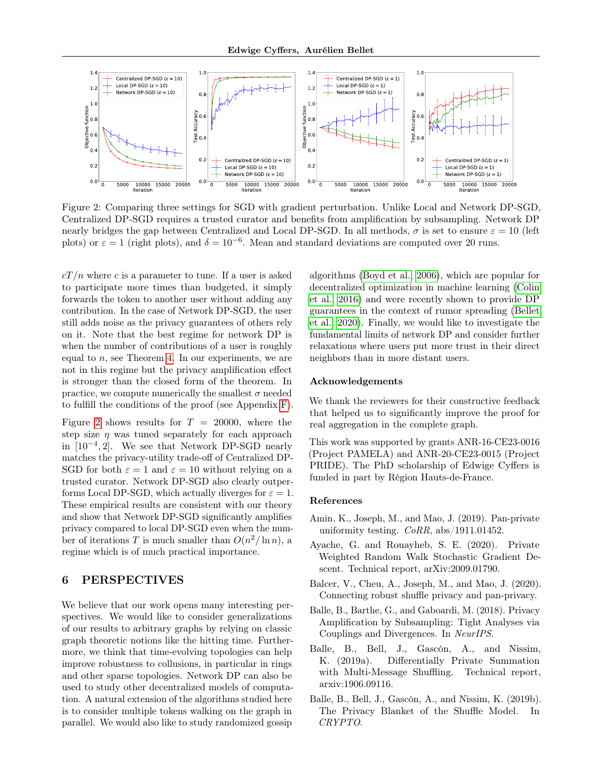<span id="page-8-5"></span>

Figure 2: Comparing three settings for SGD with gradient perturbation. Unlike Local and Network DP-SGD, Centralized DP-SGD requires a trusted curator and benefits from amplification by subsampling. Network DP nearly bridges the gap between Centralized and Local DP-SGD. In all methods,  $\sigma$  is set to ensure  $\varepsilon = 10$  (left plots) or  $\varepsilon = 1$  (right plots), and  $\delta = 10^{-6}$ . Mean and standard deviations are computed over 20 runs.

 $cT/n$  where c is a parameter to tune. If a user is asked to participate more times than budgeted, it simply forwards the token to another user without adding any contribution. In the case of Network DP-SGD, the user still adds noise as the privacy guarantees of others rely on it. Note that the best regime for network DP is when the number of contributions of a user is roughly equal to  $n$ , see Theorem [4.](#page-5-3) In our experiments, we are not in this regime but the privacy amplification effect is stronger than the closed form of the theorem. In practice, we compute numerically the smallest  $\sigma$  needed to fulfill the conditions of the proof (see Appendix [F\)](#page-16-0).

Figure [2](#page-8-5) shows results for  $T = 20000$ , where the step size  $\eta$  was tuned separately for each approach in [10<sup>−</sup><sup>4</sup> , 2]. We see that Network DP-SGD nearly matches the privacy-utility trade-off of Centralized DP-SGD for both  $\varepsilon = 1$  and  $\varepsilon = 10$  without relying on a trusted curator. Network DP-SGD also clearly outperforms Local DP-SGD, which actually diverges for  $\varepsilon = 1$ . These empirical results are consistent with our theory and show that Network DP-SGD significantly amplifies privacy compared to local DP-SGD even when the number of iterations T is much smaller than  $O(n^2/\ln n)$ , a regime which is of much practical importance.

# <span id="page-8-4"></span>6 PERSPECTIVES

We believe that our work opens many interesting perspectives. We would like to consider generalizations of our results to arbitrary graphs by relying on classic graph theoretic notions like the hitting time. Furthermore, we think that time-evolving topologies can help improve robustness to collusions, in particular in rings and other sparse topologies. Network DP can also be used to study other decentralized models of computation. A natural extension of the algorithms studied here is to consider multiple tokens walking on the graph in parallel. We would also like to study randomized gossip algorithms [\(Boyd et al., 2006\)](#page-9-26), which are popular for decentralized optimization in machine learning [\(Colin](#page-9-1) [et al., 2016\)](#page-9-1) and were recently shown to provide DP guarantees in the context of rumor spreading [\(Bellet](#page-9-27) [et al., 2020\)](#page-9-27). Finally, we would like to investigate the fundamental limits of network DP and consider further relaxations where users put more trust in their direct neighbors than in more distant users.

#### Acknowledgements

We thank the reviewers for their constructive feedback that helped us to significantly improve the proof for real aggregation in the complete graph.

This work was supported by grants ANR-16-CE23-0016 (Project PAMELA) and ANR-20-CE23-0015 (Project PRIDE). The PhD scholarship of Edwige Cyffers is funded in part by Région Hauts-de-France.

#### References

- <span id="page-8-7"></span>Amin, K., Joseph, M., and Mao, J. (2019). Pan-private uniformity testing. CoRR, abs/1911.01452.
- <span id="page-8-3"></span>Ayache, G. and Rouayheb, S. E. (2020). Private Weighted Random Walk Stochastic Gradient Descent. Technical report, arXiv:2009.01790.
- <span id="page-8-6"></span>Balcer, V., Cheu, A., Joseph, M., and Mao, J. (2020). Connecting robust shuffle privacy and pan-privacy.
- <span id="page-8-2"></span>Balle, B., Barthe, G., and Gaboardi, M. (2018). Privacy Amplification by Subsampling: Tight Analyses via Couplings and Divergences. In NeurIPS.
- <span id="page-8-1"></span>Balle, B., Bell, J., Gascón, A., and Nissim, K. (2019a). Differentially Private Summation with Multi-Message Shuffling. Technical report, arxiv:1906.09116.
- <span id="page-8-0"></span>Balle, B., Bell, J., Gascón, A., and Nissim, K. (2019b). The Privacy Blanket of the Shuffle Model. In CRYPTO.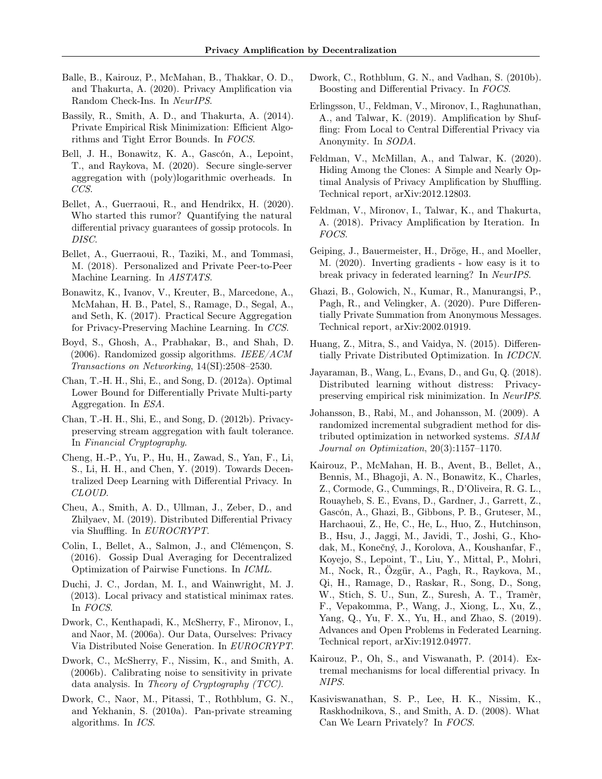- <span id="page-9-25"></span>Balle, B., Kairouz, P., McMahan, B., Thakkar, O. D., and Thakurta, A. (2020). Privacy Amplification via Random Check-Ins. In NeurIPS.
- <span id="page-9-21"></span>Bassily, R., Smith, A. D., and Thakurta, A. (2014). Private Empirical Risk Minimization: Efficient Algorithms and Tight Error Bounds. In FOCS.
- <span id="page-9-14"></span>Bell, J. H., Bonawitz, K. A., Gascón, A., Lepoint, T., and Raykova, M. (2020). Secure single-server aggregation with (poly)logarithmic overheads. In CCS.
- <span id="page-9-27"></span>Bellet, A., Guerraoui, R., and Hendrikx, H. (2020). Who started this rumor? Quantifying the natural differential privacy guarantees of gossip protocols. In DISC.
- <span id="page-9-2"></span>Bellet, A., Guerraoui, R., Taziki, M., and Tommasi, M. (2018). Personalized and Private Peer-to-Peer Machine Learning. In AISTATS.
- <span id="page-9-11"></span>Bonawitz, K., Ivanov, V., Kreuter, B., Marcedone, A., McMahan, H. B., Patel, S., Ramage, D., Segal, A., and Seth, K. (2017). Practical Secure Aggregation for Privacy-Preserving Machine Learning. In CCS.
- <span id="page-9-26"></span>Boyd, S., Ghosh, A., Prabhakar, B., and Shah, D.  $(2006)$ . Randomized gossip algorithms. *IEEE/ACM* Transactions on Networking, 14(SI):2508–2530.
- <span id="page-9-9"></span>Chan, T.-H. H., Shi, E., and Song, D. (2012a). Optimal Lower Bound for Differentially Private Multi-party Aggregation. In ESA.
- <span id="page-9-12"></span>Chan, T.-H. H., Shi, E., and Song, D. (2012b). Privacypreserving stream aggregation with fault tolerance. In Financial Cryptography.
- <span id="page-9-8"></span>Cheng, H.-P., Yu, P., Hu, H., Zawad, S., Yan, F., Li, S., Li, H. H., and Chen, Y. (2019). Towards Decentralized Deep Learning with Differential Privacy. In CLOUD.
- <span id="page-9-15"></span>Cheu, A., Smith, A. D., Ullman, J., Zeber, D., and Zhilyaev, M. (2019). Distributed Differential Privacy via Shuffling. In EUROCRYPT.
- <span id="page-9-1"></span>Colin, I., Bellet, A., Salmon, J., and Clémençon, S. (2016). Gossip Dual Averaging for Decentralized Optimization of Pairwise Functions. In ICML.
- <span id="page-9-6"></span>Duchi, J. C., Jordan, M. I., and Wainwright, M. J. (2013). Local privacy and statistical minimax rates. In FOCS.
- <span id="page-9-10"></span>Dwork, C., Kenthapadi, K., McSherry, F., Mironov, I., and Naor, M. (2006a). Our Data, Ourselves: Privacy Via Distributed Noise Generation. In EUROCRYPT.
- <span id="page-9-4"></span>Dwork, C., McSherry, F., Nissim, K., and Smith, A. (2006b). Calibrating noise to sensitivity in private data analysis. In Theory of Cryptography (TCC).
- <span id="page-9-24"></span>Dwork, C., Naor, M., Pitassi, T., Rothblum, G. N., and Yekhanin, S. (2010a). Pan-private streaming algorithms. In ICS.
- <span id="page-9-22"></span>Dwork, C., Rothblum, G. N., and Vadhan, S. (2010b). Boosting and Differential Privacy. In FOCS.
- <span id="page-9-16"></span>Erlingsson, U., Feldman, V., Mironov, I., Raghunathan, A., and Talwar, K. (2019). Amplification by Shuffling: From Local to Central Differential Privacy via Anonymity. In SODA.
- <span id="page-9-18"></span>Feldman, V., McMillan, A., and Talwar, K. (2020). Hiding Among the Clones: A Simple and Nearly Optimal Analysis of Privacy Amplification by Shuffling. Technical report, arXiv:2012.12803.
- <span id="page-9-19"></span>Feldman, V., Mironov, I., Talwar, K., and Thakurta, A. (2018). Privacy Amplification by Iteration. In FOCS.
- <span id="page-9-3"></span>Geiping, J., Bauermeister, H., Dröge, H., and Moeller, M. (2020). Inverting gradients - how easy is it to break privacy in federated learning? In NeurIPS.
- <span id="page-9-17"></span>Ghazi, B., Golowich, N., Kumar, R., Manurangsi, P., Pagh, R., and Velingker, A. (2020). Pure Differentially Private Summation from Anonymous Messages. Technical report, arXiv:2002.01919.
- <span id="page-9-7"></span>Huang, Z., Mitra, S., and Vaidya, N. (2015). Differentially Private Distributed Optimization. In ICDCN.
- <span id="page-9-13"></span>Jayaraman, B., Wang, L., Evans, D., and Gu, Q. (2018). Distributed learning without distress: Privacypreserving empirical risk minimization. In NeurIPS.
- <span id="page-9-20"></span>Johansson, B., Rabi, M., and Johansson, M. (2009). A randomized incremental subgradient method for distributed optimization in networked systems. SIAM Journal on Optimization, 20(3):1157–1170.
- <span id="page-9-0"></span>Kairouz, P., McMahan, H. B., Avent, B., Bellet, A., Bennis, M., Bhagoji, A. N., Bonawitz, K., Charles, Z., Cormode, G., Cummings, R., D'Oliveira, R. G. L., Rouayheb, S. E., Evans, D., Gardner, J., Garrett, Z., Gascón, A., Ghazi, B., Gibbons, P. B., Gruteser, M., Harchaoui, Z., He, C., He, L., Huo, Z., Hutchinson, B., Hsu, J., Jaggi, M., Javidi, T., Joshi, G., Khodak, M., Konečný, J., Korolova, A., Koushanfar, F., Koyejo, S., Lepoint, T., Liu, Y., Mittal, P., Mohri, M., Nock, R., Özgür, A., Pagh, R., Raykova, M., Qi, H., Ramage, D., Raskar, R., Song, D., Song, W., Stich, S. U., Sun, Z., Suresh, A. T., Tramèr, F., Vepakomma, P., Wang, J., Xiong, L., Xu, Z., Yang, Q., Yu, F. X., Yu, H., and Zhao, S. (2019). Advances and Open Problems in Federated Learning. Technical report, arXiv:1912.04977.
- <span id="page-9-23"></span>Kairouz, P., Oh, S., and Viswanath, P. (2014). Extremal mechanisms for local differential privacy. In NIPS.
- <span id="page-9-5"></span>Kasiviswanathan, S. P., Lee, H. K., Nissim, K., Raskhodnikova, S., and Smith, A. D. (2008). What Can We Learn Privately? In FOCS.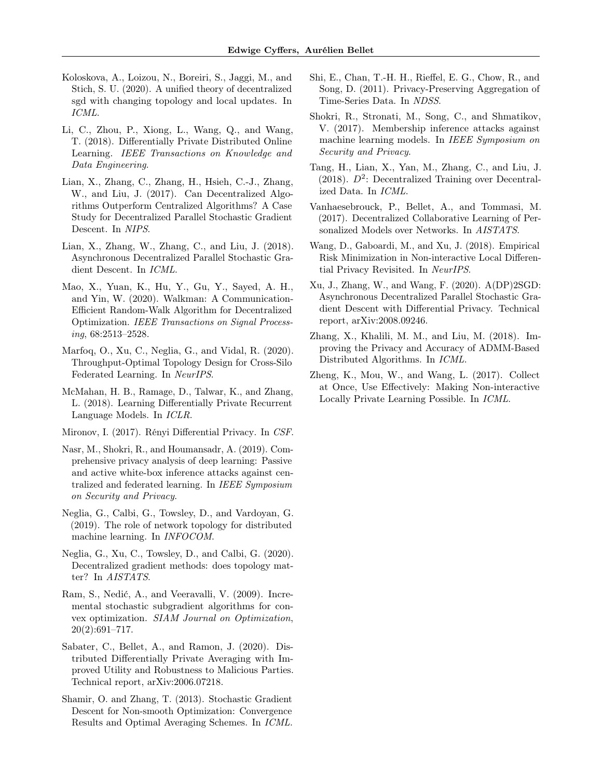- <span id="page-10-5"></span>Koloskova, A., Loizou, N., Boreiri, S., Jaggi, M., and Stich, S. U. (2020). A unified theory of decentralized sgd with changing topology and local updates. In ICML.
- <span id="page-10-9"></span>Li, C., Zhou, P., Xiong, L., Wang, Q., and Wang, T. (2018). Differentially Private Distributed Online Learning. IEEE Transactions on Knowledge and Data Engineering.
- <span id="page-10-0"></span>Lian, X., Zhang, C., Zhang, H., Hsieh, C.-J., Zhang, W., and Liu, J. (2017). Can Decentralized Algorithms Outperform Centralized Algorithms? A Case Study for Decentralized Parallel Stochastic Gradient Descent. In NIPS.
- <span id="page-10-2"></span>Lian, X., Zhang, W., Zhang, C., and Liu, J. (2018). Asynchronous Decentralized Parallel Stochastic Gradient Descent. In ICML.
- <span id="page-10-17"></span>Mao, X., Yuan, K., Hu, Y., Gu, Y., Sayed, A. H., and Yin, W. (2020). Walkman: A Communication-Efficient Random-Walk Algorithm for Decentralized Optimization. IEEE Transactions on Signal Processing, 68:2513–2528.
- <span id="page-10-19"></span>Marfoq, O., Xu, C., Neglia, G., and Vidal, R. (2020). Throughput-Optimal Topology Design for Cross-Silo Federated Learning. In NeurIPS.
- <span id="page-10-18"></span>McMahan, H. B., Ramage, D., Talwar, K., and Zhang, L. (2018). Learning Differentially Private Recurrent Language Models. In ICLR.
- <span id="page-10-20"></span>Mironov, I. (2017). Rényi Differential Privacy. In CSF.
- <span id="page-10-8"></span>Nasr, M., Shokri, R., and Houmansadr, A. (2019). Comprehensive privacy analysis of deep learning: Passive and active white-box inference attacks against centralized and federated learning. In IEEE Symposium on Security and Privacy.
- <span id="page-10-6"></span>Neglia, G., Calbi, G., Towsley, D., and Vardoyan, G. (2019). The role of network topology for distributed machine learning. In INFOCOM.
- <span id="page-10-4"></span>Neglia, G., Xu, C., Towsley, D., and Calbi, G. (2020). Decentralized gradient methods: does topology matter? In AISTATS.
- <span id="page-10-16"></span>Ram, S., Nedić, A., and Veeravalli, V. (2009). Incremental stochastic subgradient algorithms for convex optimization. SIAM Journal on Optimization, 20(2):691–717.
- <span id="page-10-15"></span>Sabater, C., Bellet, A., and Ramon, J. (2020). Distributed Differentially Private Averaging with Improved Utility and Robustness to Malicious Parties. Technical report, arXiv:2006.07218.
- <span id="page-10-21"></span>Shamir, O. and Zhang, T. (2013). Stochastic Gradient Descent for Non-smooth Optimization: Convergence Results and Optimal Averaging Schemes. In ICML.
- <span id="page-10-14"></span>Shi, E., Chan, T.-H. H., Rieffel, E. G., Chow, R., and Song, D. (2011). Privacy-Preserving Aggregation of Time-Series Data. In NDSS.
- <span id="page-10-7"></span>Shokri, R., Stronati, M., Song, C., and Shmatikov, V. (2017). Membership inference attacks against machine learning models. In IEEE Symposium on Security and Privacy.
- <span id="page-10-3"></span>Tang, H., Lian, X., Yan, M., Zhang, C., and Liu, J. (2018).  $D^2$ : Decentralized Training over Decentralized Data. In ICML.
- <span id="page-10-1"></span>Vanhaesebrouck, P., Bellet, A., and Tommasi, M. (2017). Decentralized Collaborative Learning of Personalized Models over Networks. In AISTATS.
- <span id="page-10-13"></span>Wang, D., Gaboardi, M., and Xu, J. (2018). Empirical Risk Minimization in Non-interactive Local Differential Privacy Revisited. In NeurIPS.
- <span id="page-10-11"></span>Xu, J., Zhang, W., and Wang, F. (2020). A(DP)2SGD: Asynchronous Decentralized Parallel Stochastic Gradient Descent with Differential Privacy. Technical report, arXiv:2008.09246.
- <span id="page-10-10"></span>Zhang, X., Khalili, M. M., and Liu, M. (2018). Improving the Privacy and Accuracy of ADMM-Based Distributed Algorithms. In ICML.
- <span id="page-10-12"></span>Zheng, K., Mou, W., and Wang, L. (2017). Collect at Once, Use Effectively: Making Non-interactive Locally Private Learning Possible. In ICML.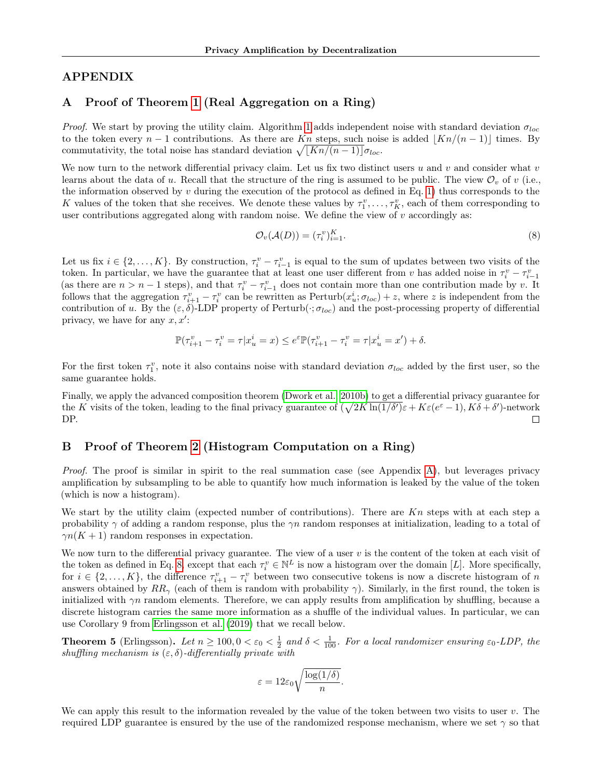# APPENDIX

# <span id="page-11-0"></span>A Proof of Theorem [1](#page-3-6) (Real Aggregation on a Ring)

*Proof.* We start by proving the utility claim. Algorithm [1](#page-3-1) adds independent noise with standard deviation  $\sigma_{loc}$ to the token every  $n-1$  contributions. As there are Kn steps, such noise is added  $|Kn/(n-1)|$  times. By commutativity, the total noise has standard deviation  $\sqrt{[Kn/(n-1)]}\sigma_{loc}$ .

We now turn to the network differential privacy claim. Let us fix two distinct users  $u$  and  $v$  and consider what  $v$ learns about the data of u. Recall that the structure of the ring is assumed to be public. The view  $\mathcal{O}_v$  of v (i.e., the information observed by  $v$  during the execution of the protocol as defined in Eq. [1\)](#page-2-4) thus corresponds to the K values of the token that she receives. We denote these values by  $\tau_1^v, \ldots, \tau_K^v$ , each of them corresponding to user contributions aggregated along with random noise. We define the view of  $v$  accordingly as:

<span id="page-11-2"></span>
$$
\mathcal{O}_v(\mathcal{A}(D)) = (\tau_i^v)_{i=1}^K.
$$
\n(8)

Let us fix  $i \in \{2,\ldots,K\}$ . By construction,  $\tau_i^v - \tau_{i-1}^v$  is equal to the sum of updates between two visits of the token. In particular, we have the guarantee that at least one user different from v has added noise in  $\tau_i^v - \tau_{i-1}^v$ (as there are  $n > n - 1$  steps), and that  $\tau_i^v - \tau_{i-1}^v$  does not contain more than one contribution made by v. It follows that the aggregation  $\tau_{i+1}^v - \tau_i^v$  can be rewritten as  $\text{Perturb}(x_u^i; \sigma_{loc}) + z$ , where z is independent from the contribution of u. By the  $(\varepsilon, \delta)$ -LDP property of Perturb( $\cdot$ ;  $\sigma_{loc}$ ) and the post-processing property of differential privacy, we have for any  $x, x'$ :

$$
\mathbb{P}(\tau^v_{i+1} - \tau^v_i = \tau | x^i_u = x) \leq e^{\varepsilon} \mathbb{P}(\tau^v_{i+1} - \tau^v_i = \tau | x^i_u = x') + \delta.
$$

For the first token  $\tau_1^v$ , note it also contains noise with standard deviation  $\sigma_{loc}$  added by the first user, so the same guarantee holds.

Finally, we apply the advanced composition theorem [\(Dwork et al., 2010b\)](#page-9-22) to get a differential privacy guarantee for the K visits of the token, leading to the final privacy guarantee of  $(\sqrt{2K\ln(1/\delta')}\varepsilon + K\varepsilon(e^{\varepsilon}-1), K\delta + \delta')$ -network DP.  $\Box$ 

### <span id="page-11-1"></span>B Proof of Theorem [2](#page-3-2) (Histogram Computation on a Ring)

Proof. The proof is similar in spirit to the real summation case (see Appendix [A\)](#page-11-0), but leverages privacy amplification by subsampling to be able to quantify how much information is leaked by the value of the token (which is now a histogram).

We start by the utility claim (expected number of contributions). There are  $Kn$  steps with at each step a probability  $\gamma$  of adding a random response, plus the  $\gamma n$  random responses at initialization, leading to a total of  $\gamma n(K + 1)$  random responses in expectation.

We now turn to the differential privacy guarantee. The view of a user  $v$  is the content of the token at each visit of the token as defined in Eq. [8,](#page-11-2) except that each  $\tau_i^v \in \mathbb{N}^L$  is now a histogram over the domain [L]. More specifically, for  $i \in \{2,\ldots,K\}$ , the difference  $\tau_{i+1}^v - \tau_i^v$  between two consecutive tokens is now a discrete histogram of n answers obtained by  $RR_{\gamma}$  (each of them is random with probability  $\gamma$ ). Similarly, in the first round, the token is initialized with  $\gamma n$  random elements. Therefore, we can apply results from amplification by shuffling, because a discrete histogram carries the same more information as a shuffle of the individual values. In particular, we can use Corollary 9 from [Erlingsson et al.](#page-9-16) [\(2019\)](#page-9-16) that we recall below.

**Theorem 5** (Erlingsson). Let  $n \ge 100, 0 < \varepsilon_0 < \frac{1}{2}$  and  $\delta < \frac{1}{100}$ . For a local randomizer ensuring  $\varepsilon_0$ -LDP, the shuffling mechanism is  $(\varepsilon, \delta)$ -differentially private with

$$
\varepsilon = 12\varepsilon_0 \sqrt{\frac{\log(1/\delta)}{n}}.
$$

We can apply this result to the information revealed by the value of the token between two visits to user  $v$ . The required LDP guarantee is ensured by the use of the randomized response mechanism, where we set  $\gamma$  so that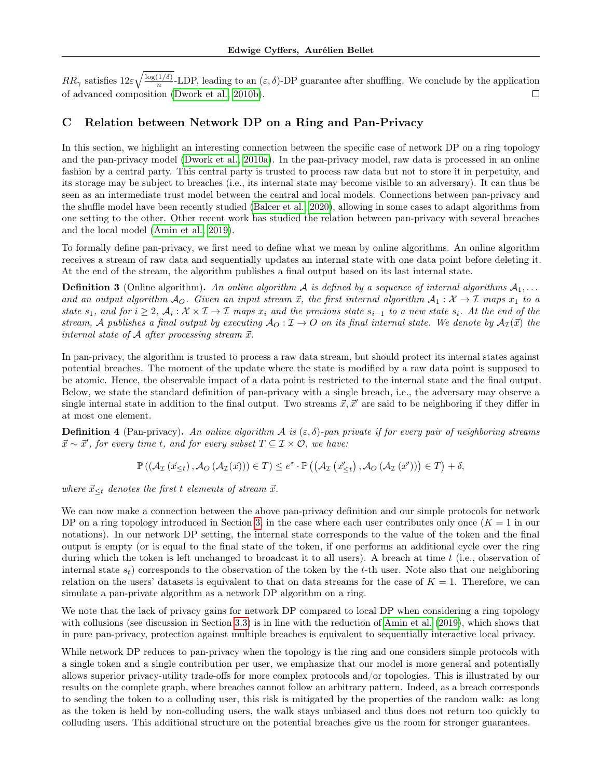$RR_{\gamma}$  satisfies  $12\varepsilon\sqrt{\frac{\log(1/\delta)}{n}}$  $\frac{(1/\theta)}{n}$ -LDP, leading to an  $(\varepsilon, \delta)$ -DP guarantee after shuffling. We conclude by the application of advanced composition [\(Dwork et al., 2010b\)](#page-9-22). П

# <span id="page-12-0"></span>C Relation between Network DP on a Ring and Pan-Privacy

In this section, we highlight an interesting connection between the specific case of network DP on a ring topology and the pan-privacy model [\(Dwork et al., 2010a\)](#page-9-24). In the pan-privacy model, raw data is processed in an online fashion by a central party. This central party is trusted to process raw data but not to store it in perpetuity, and its storage may be subject to breaches (i.e., its internal state may become visible to an adversary). It can thus be seen as an intermediate trust model between the central and local models. Connections between pan-privacy and the shuffle model have been recently studied [\(Balcer et al., 2020\)](#page-8-6), allowing in some cases to adapt algorithms from one setting to the other. Other recent work has studied the relation between pan-privacy with several breaches and the local model [\(Amin et al., 2019\)](#page-8-7).

To formally define pan-privacy, we first need to define what we mean by online algorithms. An online algorithm receives a stream of raw data and sequentially updates an internal state with one data point before deleting it. At the end of the stream, the algorithm publishes a final output based on its last internal state.

**Definition 3** (Online algorithm). An online algorithm A is defined by a sequence of internal algorithms  $A_1, \ldots$ and an output algorithm  $A_O$ . Given an input stream  $\vec{x}$ , the first internal algorithm  $A_1: \mathcal{X} \to \mathcal{I}$  maps  $x_1$  to a state  $s_1$ , and for  $i \geq 2$ ,  $\mathcal{A}_i : \mathcal{X} \times \mathcal{I} \to \mathcal{I}$  maps  $x_i$  and the previous state  $s_{i-1}$  to a new state  $s_i$ . At the end of the stream, A publishes a final output by executing  $\mathcal{A}_{\mathcal{O}} : \mathcal{I} \to \mathcal{O}$  on its final internal state. We denote by  $\mathcal{A}_{\mathcal{I}}(\vec{x})$  the internal state of  $A$  after processing stream  $\vec{x}$ .

In pan-privacy, the algorithm is trusted to process a raw data stream, but should protect its internal states against potential breaches. The moment of the update where the state is modified by a raw data point is supposed to be atomic. Hence, the observable impact of a data point is restricted to the internal state and the final output. Below, we state the standard definition of pan-privacy with a single breach, i.e., the adversary may observe a single internal state in addition to the final output. Two streams  $\vec{x}, \vec{x}'$  are said to be neighboring if they differ in at most one element.

**Definition 4** (Pan-privacy). An online algorithm A is  $(\varepsilon, \delta)$ -pan private if for every pair of neighboring streams  $\vec{x} \sim \vec{x}'$ , for every time t, and for every subset  $T \subseteq \mathcal{I} \times \mathcal{O}$ , we have:

$$
\mathbb{P}\left(\left(\mathcal{A}_{\mathcal{I}}\left(\vec{x}_{\leq t}\right), \mathcal{A}_{O}\left(\mathcal{A}_{\mathcal{I}}(\vec{x})\right)\right) \in T\right) \leq e^{\varepsilon} \cdot \mathbb{P}\left(\left(\mathcal{A}_{\mathcal{I}}\left(\vec{x}_{\leq t}'\right), \mathcal{A}_{O}\left(\mathcal{A}_{\mathcal{I}}\left(\vec{x}'\right)\right)\right) \in T\right) + \delta,
$$

where  $\vec{x}_{\leq t}$  denotes the first t elements of stream  $\vec{x}$ .

We can now make a connection between the above pan-privacy definition and our simple protocols for network DP on a ring topology introduced in Section [3,](#page-3-0) in the case where each user contributes only once  $(K = 1$  in our notations). In our network DP setting, the internal state corresponds to the value of the token and the final output is empty (or is equal to the final state of the token, if one performs an additional cycle over the ring during which the token is left unchanged to broadcast it to all users). A breach at time  $t$  (i.e., observation of internal state  $s_t$ ) corresponds to the observation of the token by the t-th user. Note also that our neighboring relation on the users' datasets is equivalent to that on data streams for the case of  $K = 1$ . Therefore, we can simulate a pan-private algorithm as a network DP algorithm on a ring.

We note that the lack of privacy gains for network DP compared to local DP when considering a ring topology with collusions (see discussion in Section [3.3\)](#page-4-4) is in line with the reduction of [Amin et al.](#page-8-7) [\(2019\)](#page-8-7), which shows that in pure pan-privacy, protection against multiple breaches is equivalent to sequentially interactive local privacy.

While network DP reduces to pan-privacy when the topology is the ring and one considers simple protocols with a single token and a single contribution per user, we emphasize that our model is more general and potentially allows superior privacy-utility trade-offs for more complex protocols and/or topologies. This is illustrated by our results on the complete graph, where breaches cannot follow an arbitrary pattern. Indeed, as a breach corresponds to sending the token to a colluding user, this risk is mitigated by the properties of the random walk: as long as the token is held by non-colluding users, the walk stays unbiased and thus does not return too quickly to colluding users. This additional structure on the potential breaches give us the room for stronger guarantees.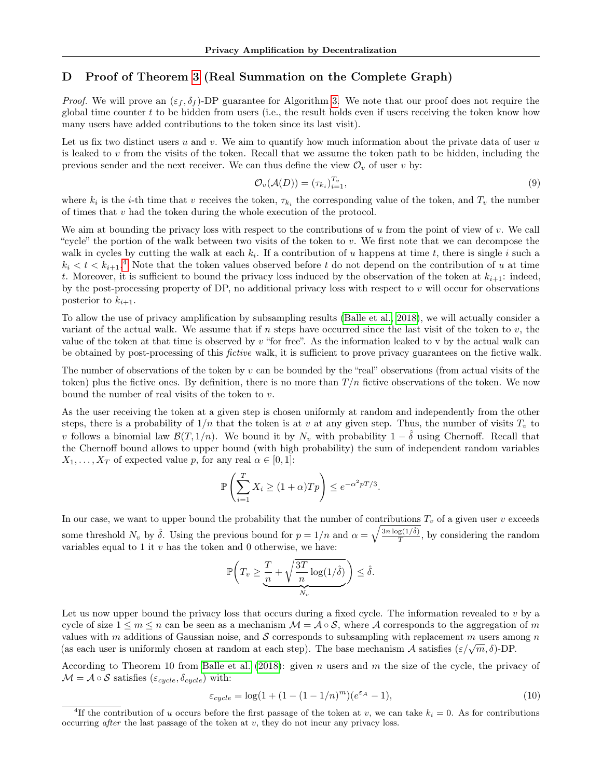### <span id="page-13-0"></span>D Proof of Theorem [3](#page-4-3) (Real Summation on the Complete Graph)

*Proof.* We will prove an  $(\varepsilon_f, \delta_f)$ -DP guarantee for Algorithm [3.](#page-4-2) We note that our proof does not require the global time counter t to be hidden from users (i.e., the result holds even if users receiving the token know how many users have added contributions to the token since its last visit).

Let us fix two distinct users u and v. We aim to quantify how much information about the private data of user u is leaked to  $v$  from the visits of the token. Recall that we assume the token path to be hidden, including the previous sender and the next receiver. We can thus define the view  $\mathcal{O}_v$  of user v by:

$$
\mathcal{O}_v(\mathcal{A}(D)) = (\tau_{k_i})_{i=1}^{T_v},\tag{9}
$$

where  $k_i$  is the *i*-th time that v receives the token,  $\tau_{k_i}$  the corresponding value of the token, and  $T_v$  the number of times that  $v$  had the token during the whole execution of the protocol.

We aim at bounding the privacy loss with respect to the contributions of u from the point of view of v. We call "cycle" the portion of the walk between two visits of the token to v. We first note that we can decompose the walk in cycles by cutting the walk at each  $k_i$ . If a contribution of u happens at time t, there is single i such a  $k_i < t < k_{i+1}$ <sup>[4](#page-13-1)</sup>. Note that the token values observed before t do not depend on the contribution of u at time t. Moreover, it is sufficient to bound the privacy loss induced by the observation of the token at  $k_{i+1}$ : indeed, by the post-processing property of DP, no additional privacy loss with respect to  $v$  will occur for observations posterior to  $k_{i+1}$ .

To allow the use of privacy amplification by subsampling results [\(Balle et al., 2018\)](#page-8-2), we will actually consider a variant of the actual walk. We assume that if n steps have occurred since the last visit of the token to  $v$ , the value of the token at that time is observed by  $v$  "for free". As the information leaked to v by the actual walk can be obtained by post-processing of this fictive walk, it is sufficient to prove privacy guarantees on the fictive walk.

The number of observations of the token by v can be bounded by the "real" observations (from actual visits of the token) plus the fictive ones. By definition, there is no more than  $T/n$  fictive observations of the token. We now bound the number of real visits of the token to v.

As the user receiving the token at a given step is chosen uniformly at random and independently from the other steps, there is a probability of  $1/n$  that the token is at v at any given step. Thus, the number of visits  $T_v$  to v follows a binomial law  $\mathcal{B}(T, 1/n)$ . We bound it by  $N_v$  with probability  $1 - \delta$  using Chernoff. Recall that the Chernoff bound allows to upper bound (with high probability) the sum of independent random variables  $X_1, \ldots, X_T$  of expected value p, for any real  $\alpha \in [0, 1]$ :

$$
\mathbb{P}\left(\sum_{i=1}^T X_i \ge (1+\alpha)Tp\right) \le e^{-\alpha^2 pT/3}.
$$

In our case, we want to upper bound the probability that the number of contributions  $T_v$  of a given user v exceeds some threshold  $N_v$  by  $\hat{\delta}$ . Using the previous bound for  $p = 1/n$  and  $\alpha = \sqrt{\frac{3n \log(1/\hat{\delta})}{T}}$  $\frac{g(1/\delta)}{T}$ , by considering the random variables equal to  $1$  it  $v$  has the token and  $0$  otherwise, we have:

$$
\mathbb{P}\bigg(T_v \geq \underbrace{\frac{T}{n} + \sqrt{\frac{3T}{n}\log(1/\hat{\delta})}}_{N_v}\bigg) \leq \hat{\delta}.
$$

Let us now upper bound the privacy loss that occurs during a fixed cycle. The information revealed to  $v$  by a cycle of size  $1 \leq m \leq n$  can be seen as a mechanism  $\mathcal{M} = \mathcal{A} \circ \mathcal{S}$ , where  $\mathcal{A}$  corresponds to the aggregation of m values with m additions of Gaussian noise, and  $S$  corresponds to subsampling with replacement m users among n values with m additions of Gaussian holse, and S corresponds to subsamping with replacement m users among (as each user is uniformly chosen at random at each step). The base mechanism A satisfies  $(\varepsilon/\sqrt{m}, \delta)$ -DP.

According to Theorem 10 from [Balle et al.](#page-8-2) [\(2018\)](#page-8-2): given n users and m the size of the cycle, the privacy of  $\mathcal{M} = \mathcal{A} \circ \mathcal{S}$  satisfies  $(\varepsilon_{cycle}, \delta_{cycle})$  with:

$$
\varepsilon_{cycle} = \log(1 + (1 - (1 - 1/n)^m)(e^{\varepsilon_{\mathcal{A}}}-1),\tag{10}
$$

<span id="page-13-1"></span><sup>&</sup>lt;sup>4</sup>If the contribution of u occurs before the first passage of the token at v, we can take  $k_i = 0$ . As for contributions occurring *after* the last passage of the token at  $v$ , they do not incur any privacy loss.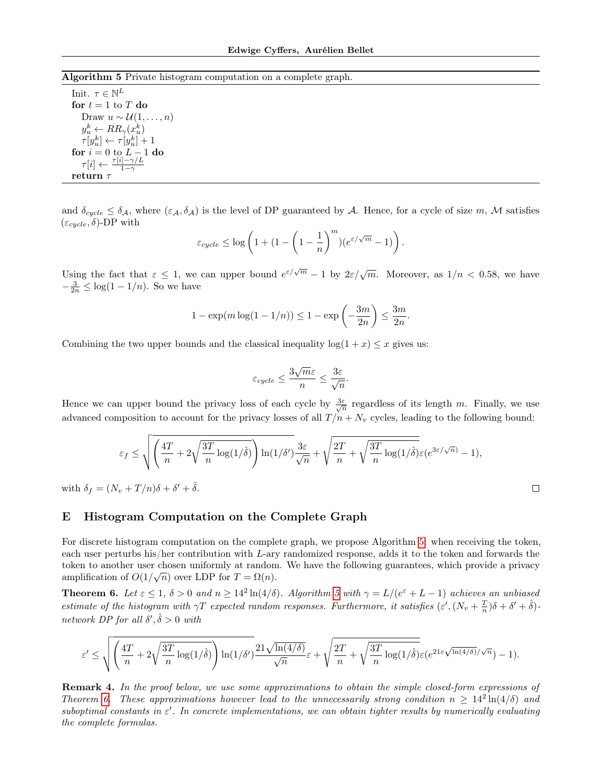<span id="page-14-1"></span>Algorithm 5 Private histogram computation on a complete graph.

Init.  $\tau \in \mathbb{N}^L$ for  $t = 1$  to  $T$  do Draw  $u \sim \mathcal{U}(1,\ldots,n)$  $y_u^k \leftarrow RR_\gamma(x_u^k)$  $\tau[y_u^k] \leftarrow \tau[y_u^k] + 1$ for  $i = 0$  to  $L - 1$  do  $\tau[i] \leftarrow \frac{\tau[i]-\gamma/L}{1-\gamma}$ return  $\tau$ 

and  $\delta_{cycle} \leq \delta_{\mathcal{A}}$ , where  $(\varepsilon_{\mathcal{A}}, \delta_{\mathcal{A}})$  is the level of DP guaranteed by A. Hence, for a cycle of size m, M satisfies  $(\varepsilon_{cycle}, \delta)$ -DP with

$$
\varepsilon_{cycle} \leq \log\left(1 + \left(1 - \left(1 - \frac{1}{n}\right)^m\right)\left(e^{\varepsilon/\sqrt{m}} - 1\right)\right)
$$

.

 $\Box$ 

Using the fact that  $\varepsilon \leq 1$ , we can upper bound  $e^{\varepsilon/\sqrt{m}} - 1$  by  $2\varepsilon/\sqrt{m}$ . Moreover, as  $1/n < 0.58$ , we have  $-\frac{3}{2n} \leq \log(1-1/n)$ . So we have

$$
1 - \exp(m \log(1 - 1/n)) \le 1 - \exp\left(-\frac{3m}{2n}\right) \le \frac{3m}{2n}.
$$

Combining the two upper bounds and the classical inequality  $log(1 + x) \leq x$  gives us:

$$
\varepsilon_{cycle} \le \frac{3\sqrt{m}\varepsilon}{n} \le \frac{3\varepsilon}{\sqrt{n}}.
$$

Hence we can upper bound the privacy loss of each cycle by  $\frac{3\varepsilon}{\sqrt{n}}$  regardless of its length m. Finally, we use advanced composition to account for the privacy losses of all  $T/n + N_v$  cycles, leading to the following bound:

$$
\varepsilon_f \leq \sqrt{\left(\frac{4T}{n} + 2\sqrt{\frac{3T}{n}\log(1/\hat{\delta})}\right)\ln(1/\delta')}\frac{3\varepsilon}{\sqrt{n}} + \sqrt{\frac{2T}{n} + \sqrt{\frac{3T}{n}\log(1/\hat{\delta})}\varepsilon(e^{3\varepsilon/\sqrt{n})} - 1)},
$$

with  $\delta_f = (N_v + T/n)\delta + \delta' + \hat{\delta}.$ 

### <span id="page-14-0"></span>E Histogram Computation on the Complete Graph

For discrete histogram computation on the complete graph, we propose Algorithm [5:](#page-14-1) when receiving the token, each user perturbs his/her contribution with L-ary randomized response, adds it to the token and forwards the token to another user chosen uniformly at random. We have the following guarantees, which provide a privacy amplification of  $O(1/\sqrt{n})$  over LDP for  $T = \Omega(n)$ .

<span id="page-14-2"></span>**Theorem 6.** Let  $\varepsilon \leq 1$ ,  $\delta > 0$  and  $n \geq 14^2 \ln(4/\delta)$ . Algorithm [5](#page-14-1) with  $\gamma = L/(e^{\varepsilon} + L - 1)$  achieves an unbiased estimate of the histogram with  $\gamma T$  expected random responses. Furthermore, it satisfies  $(\varepsilon', (N_v + \frac{T}{n})\delta + \delta' + \hat{\delta})$ network DP for all  $\delta', \hat{\delta} > 0$  with

$$
\varepsilon' \leq \sqrt{\left(\frac{4T}{n} + 2\sqrt{\frac{3T}{n}\log(1/\hat{\delta})}\right)\ln(1/\delta')} \frac{21\sqrt{\ln(4/\delta)}}{\sqrt{n}}\varepsilon + \sqrt{\frac{2T}{n} + \sqrt{\frac{3T}{n}\log(1/\hat{\delta})}\varepsilon}(e^{21\varepsilon\sqrt{\ln(4/\delta)}/\sqrt{n}}) - 1).
$$

**Remark 4.** In the proof below, we use some approximations to obtain the simple closed-form expressions of Theorem [6.](#page-14-2) These approximations however lead to the unnecessarily strong condition  $n \geq 14^2 \ln(4/\delta)$  and suboptimal constants in  $\varepsilon'$ . In concrete implementations, we can obtain tighter results by numerically evaluating the complete formulas.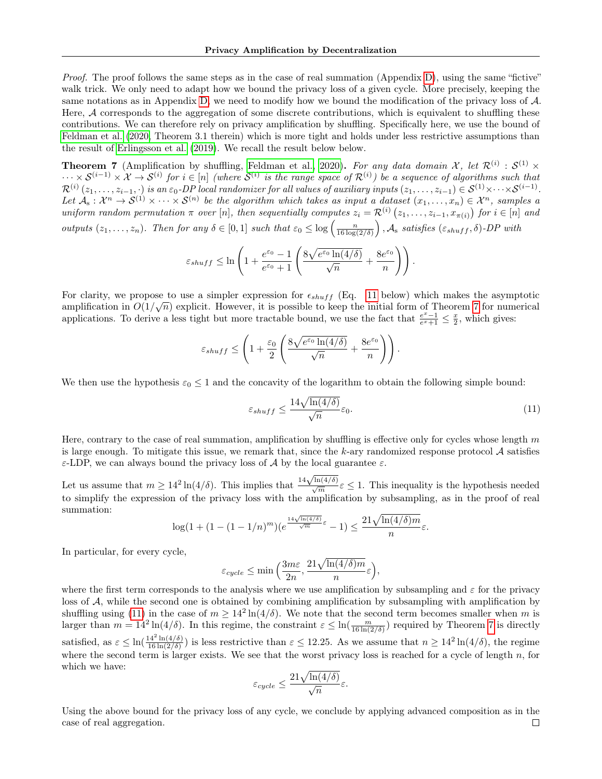Proof. The proof follows the same steps as in the case of real summation (Appendix [D\)](#page-13-0), using the same "fictive" walk trick. We only need to adapt how we bound the privacy loss of a given cycle. More precisely, keeping the same notations as in Appendix [D,](#page-13-0) we need to modify how we bound the modification of the privacy loss of  $\mathcal{A}$ . Here, A corresponds to the aggregation of some discrete contributions, which is equivalent to shuffling these contributions. We can therefore rely on privacy amplification by shuffling. Specifically here, we use the bound of [Feldman et al.](#page-9-18) [\(2020,](#page-9-18) Theorem 3.1 therein) which is more tight and holds under less restrictive assumptions than the result of [Erlingsson et al.](#page-9-16) [\(2019\)](#page-9-16). We recall the result below below.

<span id="page-15-1"></span>**Theorem 7** (Amplification by shuffling, [Feldman et al., 2020\)](#page-9-18). For any data domain X, let  $\mathcal{R}^{(i)}$  :  $\mathcal{S}^{(1)}$  ×  $\cdots \times S^{(i-1)} \times X \to S^{(i)}$  for  $i \in [n]$  (where  $S^{(i)}$  is the range space of  $\mathcal{R}^{(i)}$ ) be a sequence of algorithms such that  $\mathcal{R}^{(i)}\left(z_1,\ldots,z_{i-1},\cdot\right)$  is an  $\varepsilon_0\text{-}DP$  local randomizer for all values of auxiliary inputs  $(z_1,\ldots,z_{i-1})\in\mathcal{S}^{(1)}\times\cdots\times\mathcal{S}^{(i-1)}$ . Let  $\mathcal{A}_s: \mathcal{X}^n \to \mathcal{S}^{(1)} \times \cdots \times \mathcal{S}^{(n)}$  be the algorithm which takes as input a dataset  $(x_1, \ldots, x_n) \in \mathcal{X}^n$ , samples a uniform random permutation  $\pi$  over [n], then sequentially computes  $z_i = \mathcal{R}^{(i)}(z_1,\ldots,z_{i-1},x_{\pi(i)})$  for  $i \in [n]$  and outputs  $(z_1, \ldots, z_n)$ . Then for any  $\delta \in [0,1]$  such that  $\varepsilon_0 \leq \log\left(\frac{n}{16 \log(2/\delta)}\right)$ ,  $\mathcal{A}_s$  satisfies  $(\varepsilon_{shuff}, \delta)$ -DP with

$$
\varepsilon_{shuff} \leq \ln\left(1 + \frac{e^{\varepsilon_0} - 1}{e^{\varepsilon_0} + 1} \left(\frac{8\sqrt{e^{\varepsilon_0}\ln(4/\delta)}}{\sqrt{n}} + \frac{8e^{\varepsilon_0}}{n}\right)\right).
$$

For clarity, we propose to use a simpler expression for  $\epsilon_{shuff}$  (Eq. [11](#page-15-0) below) which makes the asymptotic amplification in  $O(1/\sqrt{n})$  explicit. However, it is possible to keep the initial form of Theorem [7](#page-15-1) for numerical applications. To derive a less tight but more tractable bound, we use the fact that  $\frac{e^x-1}{e^x+1} \leq \frac{x}{2}$ , which gives:

$$
\varepsilon_{shuff} \le \left(1 + \frac{\varepsilon_0}{2} \left( \frac{8\sqrt{e^{\varepsilon_0} \ln(4/\delta)}}{\sqrt{n}} + \frac{8e^{\varepsilon_0}}{n} \right) \right).
$$

We then use the hypothesis  $\varepsilon_0 \leq 1$  and the concavity of the logarithm to obtain the following simple bound:

<span id="page-15-0"></span>
$$
\varepsilon_{shuff} \le \frac{14\sqrt{\ln(4/\delta)}}{\sqrt{n}} \varepsilon_0. \tag{11}
$$

Here, contrary to the case of real summation, amplification by shuffling is effective only for cycles whose length  $m$ is large enough. To mitigate this issue, we remark that, since the k-ary randomized response protocol  $\mathcal A$  satisfies ε-LDP, we can always bound the privacy loss of  $\mathcal A$  by the local guarantee ε.

Let us assume that  $m \ge 14^2 \ln(4/\delta)$ . This implies that  $\frac{14\sqrt{\ln(4/\delta)}}{\sqrt{m}} \varepsilon \le 1$ . This inequality is the hypothesis needed to simplify the expression of the privacy loss with the amplification by subsampling, as in the proof of real summation:

$$
\log(1 + (1 - (1 - 1/n)^m)(e^{\frac{14\sqrt{\ln(4/\delta)}}{\sqrt{m}}\varepsilon} - 1) \le \frac{21\sqrt{\ln(4/\delta)m}}{n}\varepsilon.
$$

In particular, for every cycle,

$$
\varepsilon_{cycle} \le \min\Big(\frac{3m\varepsilon}{2n},\frac{21\sqrt{\ln(4/\delta)m}}{n}\varepsilon\Big),\,
$$

where the first term corresponds to the analysis where we use amplification by subsampling and  $\varepsilon$  for the privacy loss of A, while the second one is obtained by combining amplification by subsampling with amplification by shuffling using [\(11\)](#page-15-0) in the case of  $m \ge 14^2 \ln(4/\delta)$ . We note that the second term becomes smaller when m is larger than  $m = 14^2 \ln(4/\delta)$ . In this regime, the constraint  $\varepsilon \leq \ln\left(\frac{m}{16 \ln(2/\delta)}\right)$  required by Theorem [7](#page-15-1) is directly satisfied, as  $\varepsilon \leq \ln(\frac{14^2 \ln(4/\delta)}{16 \ln(2/\delta))}$  $\frac{14^2 \ln(4/\delta)}{16 \ln(2/\delta)}$  is less restrictive than  $\varepsilon \le 12.25$ . As we assume that  $n \ge 14^2 \ln(4/\delta)$ , the regime where the second term is larger exists. We see that the worst privacy loss is reached for a cycle of length  $n$ , for which we have:

$$
\varepsilon_{cycle} \le \frac{21\sqrt{\ln(4/\delta)}}{\sqrt{n}}\varepsilon.
$$

Using the above bound for the privacy loss of any cycle, we conclude by applying advanced composition as in the case of real aggregation. $\Box$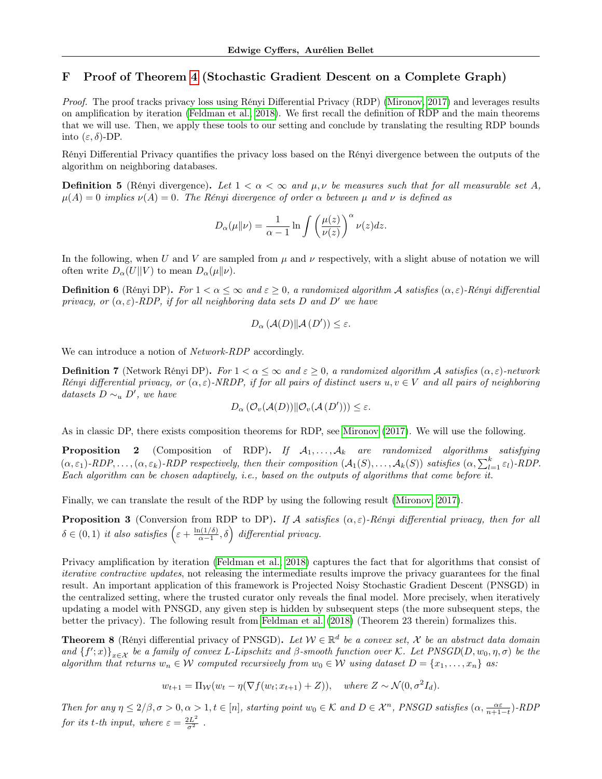# <span id="page-16-0"></span>F Proof of Theorem [4](#page-5-3) (Stochastic Gradient Descent on a Complete Graph)

Proof. The proof tracks privacy loss using Rényi Differential Privacy (RDP) [\(Mironov, 2017\)](#page-10-20) and leverages results on amplification by iteration [\(Feldman et al., 2018\)](#page-9-19). We first recall the definition of RDP and the main theorems that we will use. Then, we apply these tools to our setting and conclude by translating the resulting RDP bounds into (ε, δ)-DP.

Rényi Differential Privacy quantifies the privacy loss based on the Rényi divergence between the outputs of the algorithm on neighboring databases.

**Definition 5** (Rényi divergence). Let  $1 < \alpha < \infty$  and  $\mu, \nu$  be measures such that for all measurable set A,  $\mu(A) = 0$  implies  $\nu(A) = 0$ . The Rényi divergence of order  $\alpha$  between  $\mu$  and  $\nu$  is defined as

$$
D_{\alpha}(\mu\|\nu) = \frac{1}{\alpha - 1} \ln \int \left(\frac{\mu(z)}{\nu(z)}\right)^{\alpha} \nu(z) dz.
$$

In the following, when U and V are sampled from  $\mu$  and  $\nu$  respectively, with a slight abuse of notation we will often write  $D_{\alpha}(U||V)$  to mean  $D_{\alpha}(\mu||\nu)$ .

**Definition 6** (Rényi DP). For  $1 < \alpha \leq \infty$  and  $\varepsilon \geq 0$ , a randomized algorithm A satisfies  $(\alpha, \varepsilon)$ -Rényi differential privacy, or  $(\alpha, \varepsilon)$ -RDP, if for all neighboring data sets D and D' we have

$$
D_{\alpha}\left(\mathcal{A}(D)\|\mathcal{A}(D')\right) \leq \varepsilon.
$$

We can introduce a notion of Network-RDP accordingly.

**Definition 7** (Network Rényi DP). For  $1 < \alpha < \infty$  and  $\varepsilon > 0$ , a randomized algorithm A satisfies  $(\alpha, \varepsilon)$ -network Rényi differential privacy, or  $(\alpha, \varepsilon)$ -NRDP, if for all pairs of distinct users  $u, v \in V$  and all pairs of neighboring datasets  $D \sim_u D'$ , we have

$$
D_{\alpha}(\mathcal{O}_{v}(\mathcal{A}(D))\|\mathcal{O}_{v}(\mathcal{A}(D')))\leq\varepsilon.
$$

As in classic DP, there exists composition theorems for RDP, see [Mironov](#page-10-20) [\(2017\)](#page-10-20). We will use the following.

**Proposition 2** (Composition of RDP). If  $A_1, \ldots, A_k$  are randomized algorithms satisfying  $(\alpha, \varepsilon_1)$ -RDP,...,  $(\alpha, \varepsilon_k)$ -RDP respectively, then their composition  $(\mathcal{A}_1(S), \ldots, \mathcal{A}_k(S))$  satisfies  $(\alpha, \sum_{l=1}^k \varepsilon_l)$ -RDP. Each algorithm can be chosen adaptively, i.e., based on the outputs of algorithms that come before it.

Finally, we can translate the result of the RDP by using the following result [\(Mironov, 2017\)](#page-10-20).

<span id="page-16-2"></span>**Proposition 3** (Conversion from RDP to DP). If A satisfies  $(\alpha, \varepsilon)$ -Rényi differential privacy, then for all  $\delta \in (0,1)$  it also satisfies  $\left(\varepsilon + \frac{\ln(1/\delta)}{\varepsilon - 1}\right)$  $\left(\frac{a(1/\delta)}{\alpha-1},\delta\right)$  differential privacy.

Privacy amplification by iteration [\(Feldman et al., 2018\)](#page-9-19) captures the fact that for algorithms that consist of iterative contractive updates, not releasing the intermediate results improve the privacy guarantees for the final result. An important application of this framework is Projected Noisy Stochastic Gradient Descent (PNSGD) in the centralized setting, where the trusted curator only reveals the final model. More precisely, when iteratively updating a model with PNSGD, any given step is hidden by subsequent steps (the more subsequent steps, the better the privacy). The following result from [Feldman et al.](#page-9-19) [\(2018\)](#page-9-19) (Theorem 23 therein) formalizes this.

<span id="page-16-1"></span>**Theorem 8** (Rényi differential privacy of PNSGD). Let  $W \in \mathbb{R}^d$  be a convex set, X be an abstract data domain and  ${f'(x)}_{x\in X}$  be a family of convex L-Lipschitz and  $\beta$ -smooth function over K. Let PNSGD(D,  $w_0, \eta, \sigma$ ) be the algorithm that returns  $w_n \in W$  computed recursively from  $w_0 \in W$  using dataset  $D = \{x_1, \ldots, x_n\}$  as:

$$
w_{t+1} = \Pi_{\mathcal{W}}(w_t - \eta(\nabla f(w_t; x_{t+1}) + Z)), \quad \text{where } Z \sim \mathcal{N}(0, \sigma^2 I_d).
$$

Then for any  $\eta \leq 2/\beta, \sigma > 0, \alpha > 1, t \in [n]$ , starting point  $w_0 \in \mathcal{K}$  and  $D \in \mathcal{X}^n$ , PNSGD satisfies  $(\alpha, \frac{\alpha \varepsilon}{n+1-t})$ -RDP for its t-th input, where  $\varepsilon = \frac{2L^2}{\sigma^2}$ .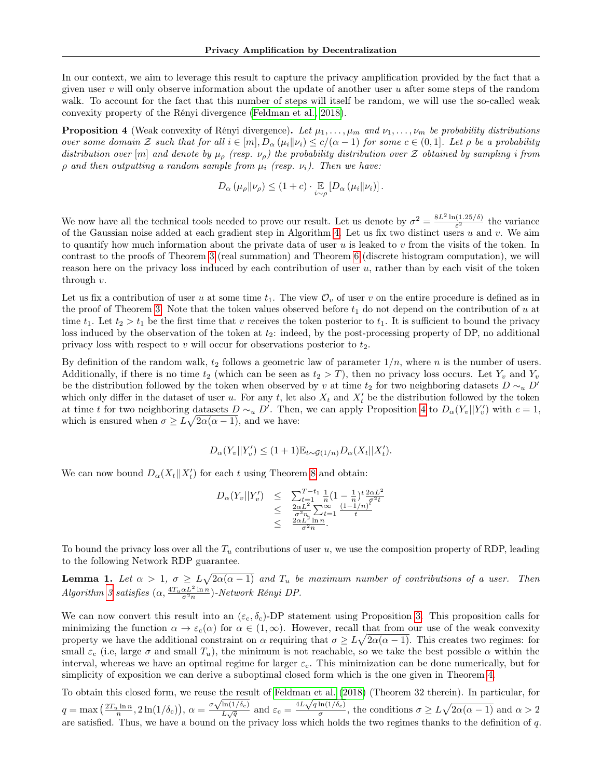In our context, we aim to leverage this result to capture the privacy amplification provided by the fact that a given user  $v$  will only observe information about the update of another user  $u$  after some steps of the random walk. To account for the fact that this number of steps will itself be random, we will use the so-called weak convexity property of the Rényi divergence [\(Feldman et al., 2018\)](#page-9-19).

<span id="page-17-0"></span>**Proposition 4** (Weak convexity of Rényi divergence). Let  $\mu_1, \ldots, \mu_m$  and  $\nu_1, \ldots, \nu_m$  be probability distributions over some domain Z such that for all  $i \in [m], D_{\alpha}(\mu_i \|\nu_i) \le c/(\alpha - 1)$  for some  $c \in (0, 1]$ . Let  $\rho$  be a probability distribution over [m] and denote by  $\mu_{\rho}$  (resp.  $\nu_{\rho}$ ) the probability distribution over Z obtained by sampling i from  $\rho$  and then outputting a random sample from  $\mu_i$  (resp.  $\nu_i$ ). Then we have:

$$
D_{\alpha}(\mu_{\rho}||\nu_{\rho}) \leq (1+c) \cdot \mathop{\mathbb{E}}_{i \sim \rho} [D_{\alpha}(\mu_i||\nu_i)].
$$

We now have all the technical tools needed to prove our result. Let us denote by  $\sigma^2 = \frac{8L^2 \ln(1.25/\delta)}{\epsilon^2}$  $\frac{(1.25/0)}{\varepsilon^2}$  the variance of the Gaussian noise added at each gradient step in Algorithm [4.](#page-5-1) Let us fix two distinct users  $u$  and  $v$ . We aim to quantify how much information about the private data of user u is leaked to v from the visits of the token. In contrast to the proofs of Theorem [3](#page-4-3) (real summation) and Theorem [6](#page-14-2) (discrete histogram computation), we will reason here on the privacy loss induced by each contribution of user u, rather than by each visit of the token through  $v$ .

Let us fix a contribution of user u at some time  $t_1$ . The view  $\mathcal{O}_v$  of user v on the entire procedure is defined as in the proof of Theorem [3.](#page-4-3) Note that the token values observed before  $t_1$  do not depend on the contribution of u at time  $t_1$ . Let  $t_2 > t_1$  be the first time that v receives the token posterior to  $t_1$ . It is sufficient to bound the privacy loss induced by the observation of the token at  $t_2$ : indeed, by the post-processing property of DP, no additional privacy loss with respect to v will occur for observations posterior to  $t_2$ .

By definition of the random walk,  $t_2$  follows a geometric law of parameter  $1/n$ , where n is the number of users. Additionally, if there is no time  $t_2$  (which can be seen as  $t_2 > T$ ), then no privacy loss occurs. Let  $Y_v$  and  $Y_v$ be the distribution followed by the token when observed by v at time t<sub>2</sub> for two neighboring datasets  $D \sim_u D'$ which only differ in the dataset of user u. For any t, let also  $X_t$  and  $X'_t$  be the distribution followed by the token at time t for two neighboring datasets  $D \sim_u D'$ . Then, we can apply Proposition [4](#page-17-0) to  $D_\alpha(Y_v||Y'_v)$  with  $c=1$ , which is ensured when  $\sigma \geq L\sqrt{2\alpha(\alpha-1)}$ , and we have:

$$
D_{\alpha}(Y_v||Y'_v) \le (1+1)\mathbb{E}_{t \sim \mathcal{G}(1/n)} D_{\alpha}(X_t||X'_t).
$$

We can now bound  $D_{\alpha}(X_t||X_t')$  for each t using Theorem [8](#page-16-1) and obtain:

$$
D_{\alpha}(Y_v||Y'_v) \leq \sum_{t=1}^{T-t_1} \frac{1}{n} (1 - \frac{1}{n})^t \frac{2\alpha L^2}{\sigma^2 t}
$$
  
 
$$
\leq \frac{2\alpha L^2}{\sigma^2 n} \sum_{t=1}^{\infty} \frac{(1-1/n)^t}{t}
$$
  
 
$$
\leq \frac{2\alpha L^2}{\sigma^2 n}.
$$

To bound the privacy loss over all the  $T_u$  contributions of user u, we use the composition property of RDP, leading to the following Network RDP guarantee.

**Lemma 1.** Let  $\alpha > 1$ ,  $\sigma \geq L\sqrt{2\alpha(\alpha-1)}$  and  $T_u$  be maximum number of contributions of a user. Then Algorithm [3](#page-4-2) satisfies  $(\alpha, \frac{4T_u \alpha L^2 \ln n}{\sigma^2 n})$ -Network Rényi DP.

We can now convert this result into an  $(\varepsilon_c, \delta_c)$ -DP statement using Proposition [3.](#page-16-2) This proposition calls for minimizing the function  $\alpha \to \varepsilon_c(\alpha)$  for  $\alpha \in (1,\infty)$ . However, recall that from our use of the weak convexity property we have the additional constraint on  $\alpha$  requiring that  $\sigma \geq L\sqrt{2\alpha(\alpha-1)}$ . This creates two regimes: for small  $\varepsilon_c$  (i.e, large  $\sigma$  and small  $T_u$ ), the minimum is not reachable, so we take the best possible  $\alpha$  within the interval, whereas we have an optimal regime for larger  $\varepsilon_c$ . This minimization can be done numerically, but for simplicity of exposition we can derive a suboptimal closed form which is the one given in Theorem [4.](#page-5-3)

To obtain this closed form, we reuse the result of [Feldman et al.](#page-9-19) [\(2018\)](#page-9-19) (Theorem 32 therein). In particular, for 10 obtain this closed form, we reuse the residence  $q = \max\left(\frac{2T_u \ln n}{n}, 2\ln(1/\delta_c)\right), \alpha = \frac{\sigma \sqrt{\ln(1/\delta_c)}}{L\sqrt{q}}$ The result of Feldman et al. (2<br>  $\frac{\ln(1/\delta_c)}{L\sqrt{q}}$  and  $\varepsilon_c = \frac{4L\sqrt{q\ln(1/\delta_c)}}{\sigma}$  $\frac{\ln(1/\delta_c)}{\sigma}$ , the conditions  $\sigma \geq L\sqrt{2\alpha(\alpha-1)}$  and  $\alpha > 2$ are satisfied. Thus, we have a bound on the privacy loss which holds the two regimes thanks to the definition of q.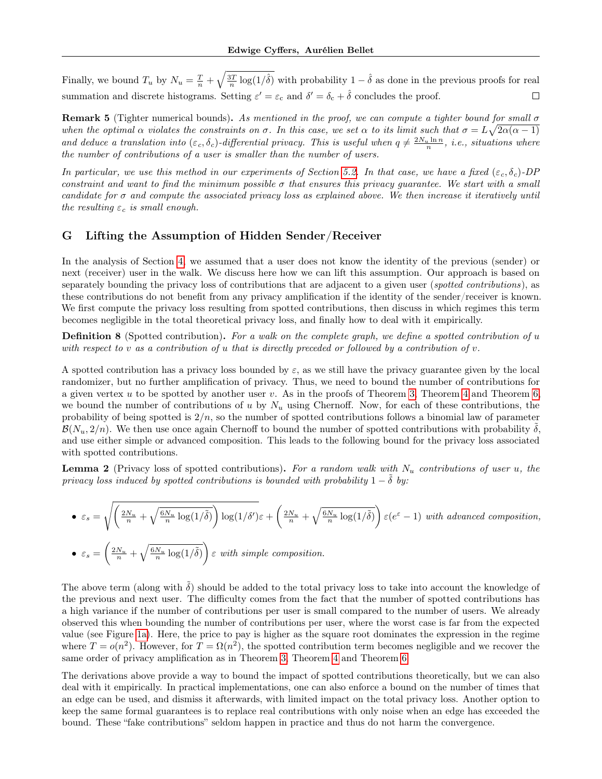Finally, we bound  $T_u$  by  $N_u = \frac{T}{n} + \sqrt{\frac{3T}{n} \log(1/\hat{\delta})}$  with probability  $1 - \hat{\delta}$  as done in the previous proofs for real summation and discrete histograms. Setting  $\varepsilon' = \varepsilon_c$  and  $\delta' = \delta_c + \hat{\delta}$  concludes the proof.  $\Box$ 

**Remark 5** (Tighter numerical bounds). As mentioned in the proof, we can compute a tighter bound for small  $\sigma$ when the optimal  $\alpha$  violates the constraints on  $\sigma$ . In this case, we set  $\alpha$  to its limit such that  $\sigma = L\sqrt{2\alpha(\alpha-1)}$ and deduce a translation into  $(\varepsilon_c, \delta_c)$ -differential privacy. This is useful when  $q \neq \frac{2N_u \ln n}{n}$ , i.e., situations where the number of contributions of a user is smaller than the number of users.

In particular, we use this method in our experiments of Section [5.2.](#page-7-2) In that case, we have a fixed  $(\varepsilon_c, \delta_c)$ -DP constraint and want to find the minimum possible  $\sigma$  that ensures this privacy quarantee. We start with a small candidate for  $\sigma$  and compute the associated privacy loss as explained above. We then increase it iteratively until the resulting  $\varepsilon_c$  is small enough.

### <span id="page-18-0"></span>G Lifting the Assumption of Hidden Sender/Receiver

In the analysis of Section [4,](#page-4-0) we assumed that a user does not know the identity of the previous (sender) or next (receiver) user in the walk. We discuss here how we can lift this assumption. Our approach is based on separately bounding the privacy loss of contributions that are adjacent to a given user (*spotted contributions*), as these contributions do not benefit from any privacy amplification if the identity of the sender/receiver is known. We first compute the privacy loss resulting from spotted contributions, then discuss in which regimes this term becomes negligible in the total theoretical privacy loss, and finally how to deal with it empirically.

**Definition 8** (Spotted contribution). For a walk on the complete graph, we define a spotted contribution of  $u$ with respect to v as a contribution of u that is directly preceded or followed by a contribution of v.

A spotted contribution has a privacy loss bounded by  $\varepsilon$ , as we still have the privacy guarantee given by the local randomizer, but no further amplification of privacy. Thus, we need to bound the number of contributions for a given vertex u to be spotted by another user v. As in the proofs of Theorem [3,](#page-4-3) Theorem [4](#page-5-3) and Theorem [6,](#page-14-2) we bound the number of contributions of u by  $N_u$  using Chernoff. Now, for each of these contributions, the probability of being spotted is  $2/n$ , so the number of spotted contributions follows a binomial law of parameter  $\mathcal{B}(N_u, 2/n)$ . We then use once again Chernoff to bound the number of spotted contributions with probability  $\delta$ , and use either simple or advanced composition. This leads to the following bound for the privacy loss associated with spotted contributions.

**Lemma 2** (Privacy loss of spotted contributions). For a random walk with  $N_u$  contributions of user u, the privacy loss induced by spotted contributions is bounded with probability  $1 - \delta$  by:

• 
$$
\varepsilon_s = \sqrt{\left(\frac{2N_u}{n} + \sqrt{\frac{6N_u}{n}\log(1/\tilde{\delta})}\right) \log(1/\delta')} \varepsilon + \left(\frac{2N_u}{n} + \sqrt{\frac{6N_u}{n}\log(1/\tilde{\delta})}\right) \varepsilon (e^{\varepsilon} - 1)
$$
 with advanced composition,  
\n•  $\varepsilon_s = \left(\frac{2N_u}{n} + \sqrt{\frac{6N_u}{n}\log(1/\tilde{\delta})}\right) \varepsilon$  with simple composition.

The above term (along with  $\tilde{\delta}$ ) should be added to the total privacy loss to take into account the knowledge of the previous and next user. The difficulty comes from the fact that the number of spotted contributions has a high variance if the number of contributions per user is small compared to the number of users. We already observed this when bounding the number of contributions per user, where the worst case is far from the expected value (see Figure [1a\)](#page-7-0). Here, the price to pay is higher as the square root dominates the expression in the regime where  $T = o(n^2)$ . However, for  $T = \Omega(n^2)$ , the spotted contribution term becomes negligible and we recover the same order of privacy amplification as in Theorem [3,](#page-4-3) Theorem [4](#page-5-3) and Theorem [6.](#page-14-2)

The derivations above provide a way to bound the impact of spotted contributions theoretically, but we can also deal with it empirically. In practical implementations, one can also enforce a bound on the number of times that an edge can be used, and dismiss it afterwards, with limited impact on the total privacy loss. Another option to keep the same formal guarantees is to replace real contributions with only noise when an edge has exceeded the bound. These "fake contributions" seldom happen in practice and thus do not harm the convergence.